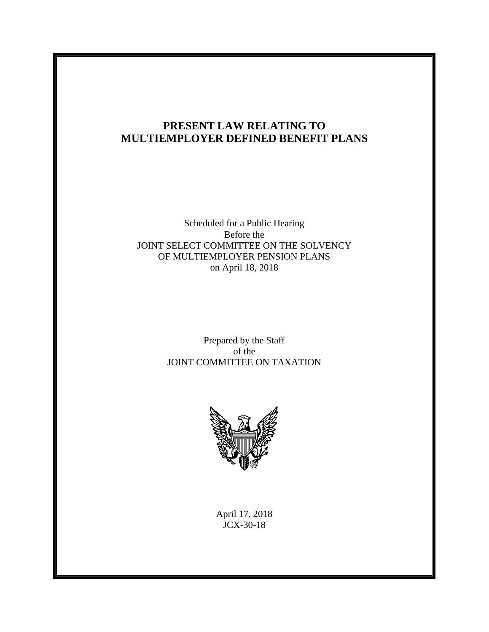# **PRESENT LAW RELATING TO MULTIEMPLOYER DEFINED BENEFIT PLANS**

## Scheduled for a Public Hearing Before the JOINT SELECT COMMITTEE ON THE SOLVENCY OF MULTIEMPLOYER PENSION PLANS on April 18, 2018

Prepared by the Staff of the JOINT COMMITTEE ON TAXATION



April 17, 2018 JCX-30-18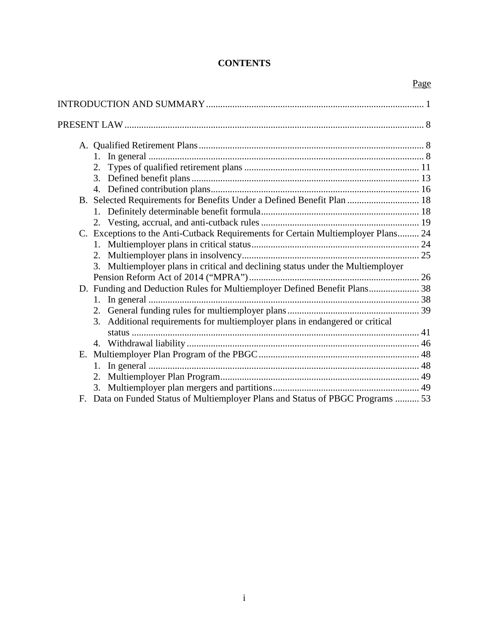# **CONTENTS**

Page

|    | 1.                                                                                |  |
|----|-----------------------------------------------------------------------------------|--|
|    |                                                                                   |  |
|    |                                                                                   |  |
|    |                                                                                   |  |
|    | B. Selected Requirements for Benefits Under a Defined Benefit Plan  18            |  |
|    |                                                                                   |  |
|    |                                                                                   |  |
|    | C. Exceptions to the Anti-Cutback Requirements for Certain Multiemployer Plans 24 |  |
|    |                                                                                   |  |
|    |                                                                                   |  |
|    | 3. Multiemployer plans in critical and declining status under the Multiemployer   |  |
|    |                                                                                   |  |
|    | D. Funding and Deduction Rules for Multiemployer Defined Benefit Plans 38         |  |
|    | 1.                                                                                |  |
|    |                                                                                   |  |
|    | Additional requirements for multiemployer plans in endangered or critical<br>3.   |  |
|    |                                                                                   |  |
|    |                                                                                   |  |
| Е. |                                                                                   |  |
|    | 1.                                                                                |  |
|    |                                                                                   |  |
|    | 3.                                                                                |  |
| F. | Data on Funded Status of Multiemployer Plans and Status of PBGC Programs  53      |  |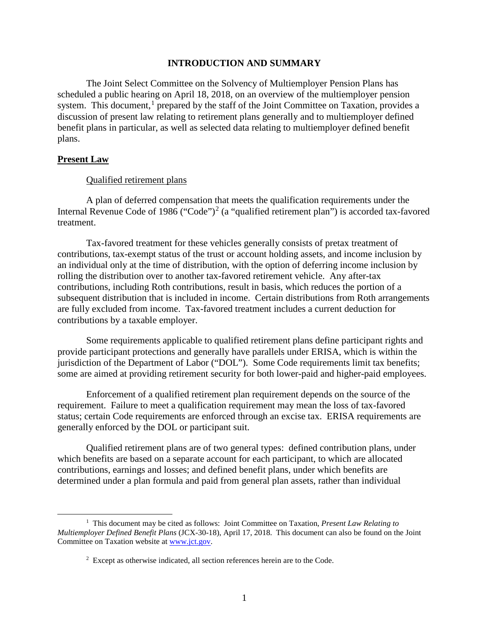#### **INTRODUCTION AND SUMMARY**

<span id="page-2-0"></span>The Joint Select Committee on the Solvency of Multiemployer Pension Plans has scheduled a public hearing on April 18, 2018, on an overview of the multiemployer pension system. This document, $<sup>1</sup>$  $<sup>1</sup>$  $<sup>1</sup>$  prepared by the staff of the Joint Committee on Taxation, provides a</sup> discussion of present law relating to retirement plans generally and to multiemployer defined benefit plans in particular, as well as selected data relating to multiemployer defined benefit plans.

### **Present Law**

#### Qualified retirement plans

A plan of deferred compensation that meets the qualification requirements under the Internal Revenue Code of 1986 ("Code")<sup>[2](#page-2-2)</sup> (a "qualified retirement plan") is accorded tax-favored treatment.

Tax-favored treatment for these vehicles generally consists of pretax treatment of contributions, tax-exempt status of the trust or account holding assets, and income inclusion by an individual only at the time of distribution, with the option of deferring income inclusion by rolling the distribution over to another tax-favored retirement vehicle. Any after-tax contributions, including Roth contributions, result in basis, which reduces the portion of a subsequent distribution that is included in income. Certain distributions from Roth arrangements are fully excluded from income. Tax-favored treatment includes a current deduction for contributions by a taxable employer.

Some requirements applicable to qualified retirement plans define participant rights and provide participant protections and generally have parallels under ERISA, which is within the jurisdiction of the Department of Labor ("DOL"). Some Code requirements limit tax benefits; some are aimed at providing retirement security for both lower-paid and higher-paid employees.

Enforcement of a qualified retirement plan requirement depends on the source of the requirement. Failure to meet a qualification requirement may mean the loss of tax-favored status; certain Code requirements are enforced through an excise tax. ERISA requirements are generally enforced by the DOL or participant suit.

Qualified retirement plans are of two general types: defined contribution plans, under which benefits are based on a separate account for each participant, to which are allocated contributions, earnings and losses; and defined benefit plans, under which benefits are determined under a plan formula and paid from general plan assets, rather than individual

<span id="page-2-2"></span><span id="page-2-1"></span> <sup>1</sup> This document may be cited as follows: Joint Committee on Taxation, *Present Law Relating to Multiemployer Defined Benefit Plans* (JCX-30-18), April 17, 2018. This document can also be found on the Joint Committee on Taxation website at [www.jct.gov.](http://www.jct.gov/)

 $2$  Except as otherwise indicated, all section references herein are to the Code.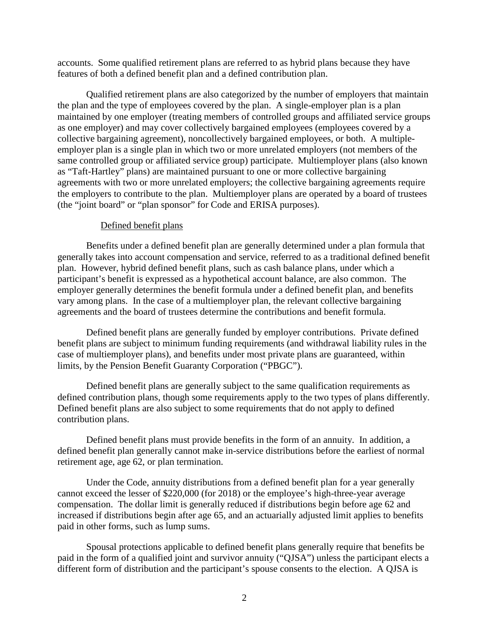accounts. Some qualified retirement plans are referred to as hybrid plans because they have features of both a defined benefit plan and a defined contribution plan.

Qualified retirement plans are also categorized by the number of employers that maintain the plan and the type of employees covered by the plan. A single-employer plan is a plan maintained by one employer (treating members of controlled groups and affiliated service groups as one employer) and may cover collectively bargained employees (employees covered by a collective bargaining agreement), noncollectively bargained employees, or both. A multipleemployer plan is a single plan in which two or more unrelated employers (not members of the same controlled group or affiliated service group) participate. Multiemployer plans (also known as "Taft-Hartley" plans) are maintained pursuant to one or more collective bargaining agreements with two or more unrelated employers; the collective bargaining agreements require the employers to contribute to the plan. Multiemployer plans are operated by a board of trustees (the "joint board" or "plan sponsor" for Code and ERISA purposes).

### Defined benefit plans

Benefits under a defined benefit plan are generally determined under a plan formula that generally takes into account compensation and service, referred to as a traditional defined benefit plan. However, hybrid defined benefit plans, such as cash balance plans, under which a participant's benefit is expressed as a hypothetical account balance, are also common. The employer generally determines the benefit formula under a defined benefit plan, and benefits vary among plans. In the case of a multiemployer plan, the relevant collective bargaining agreements and the board of trustees determine the contributions and benefit formula.

Defined benefit plans are generally funded by employer contributions. Private defined benefit plans are subject to minimum funding requirements (and withdrawal liability rules in the case of multiemployer plans), and benefits under most private plans are guaranteed, within limits, by the Pension Benefit Guaranty Corporation ("PBGC").

Defined benefit plans are generally subject to the same qualification requirements as defined contribution plans, though some requirements apply to the two types of plans differently. Defined benefit plans are also subject to some requirements that do not apply to defined contribution plans.

Defined benefit plans must provide benefits in the form of an annuity. In addition, a defined benefit plan generally cannot make in-service distributions before the earliest of normal retirement age, age 62, or plan termination.

Under the Code, annuity distributions from a defined benefit plan for a year generally cannot exceed the lesser of \$220,000 (for 2018) or the employee's high-three-year average compensation. The dollar limit is generally reduced if distributions begin before age 62 and increased if distributions begin after age 65, and an actuarially adjusted limit applies to benefits paid in other forms, such as lump sums.

Spousal protections applicable to defined benefit plans generally require that benefits be paid in the form of a qualified joint and survivor annuity ("QJSA") unless the participant elects a different form of distribution and the participant's spouse consents to the election. A QJSA is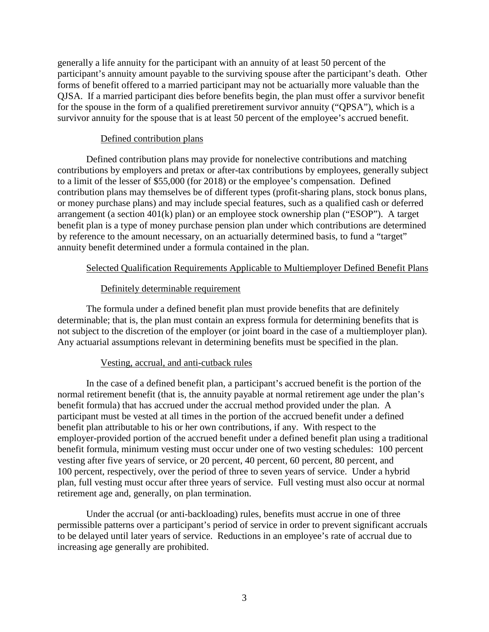generally a life annuity for the participant with an annuity of at least 50 percent of the participant's annuity amount payable to the surviving spouse after the participant's death. Other forms of benefit offered to a married participant may not be actuarially more valuable than the QJSA. If a married participant dies before benefits begin, the plan must offer a survivor benefit for the spouse in the form of a qualified preretirement survivor annuity ("QPSA"), which is a survivor annuity for the spouse that is at least 50 percent of the employee's accrued benefit.

### Defined contribution plans

Defined contribution plans may provide for nonelective contributions and matching contributions by employers and pretax or after-tax contributions by employees, generally subject to a limit of the lesser of \$55,000 (for 2018) or the employee's compensation. Defined contribution plans may themselves be of different types (profit-sharing plans, stock bonus plans, or money purchase plans) and may include special features, such as a qualified cash or deferred arrangement (a section 401(k) plan) or an employee stock ownership plan ("ESOP"). A target benefit plan is a type of money purchase pension plan under which contributions are determined by reference to the amount necessary, on an actuarially determined basis, to fund a "target" annuity benefit determined under a formula contained in the plan.

### Selected Qualification Requirements Applicable to Multiemployer Defined Benefit Plans

### Definitely determinable requirement

The formula under a defined benefit plan must provide benefits that are definitely determinable; that is, the plan must contain an express formula for determining benefits that is not subject to the discretion of the employer (or joint board in the case of a multiemployer plan). Any actuarial assumptions relevant in determining benefits must be specified in the plan.

#### Vesting, accrual, and anti-cutback rules

In the case of a defined benefit plan, a participant's accrued benefit is the portion of the normal retirement benefit (that is, the annuity payable at normal retirement age under the plan's benefit formula) that has accrued under the accrual method provided under the plan. A participant must be vested at all times in the portion of the accrued benefit under a defined benefit plan attributable to his or her own contributions, if any. With respect to the employer-provided portion of the accrued benefit under a defined benefit plan using a traditional benefit formula, minimum vesting must occur under one of two vesting schedules: 100 percent vesting after five years of service, or 20 percent, 40 percent, 60 percent, 80 percent, and 100 percent, respectively, over the period of three to seven years of service. Under a hybrid plan, full vesting must occur after three years of service. Full vesting must also occur at normal retirement age and, generally, on plan termination.

Under the accrual (or anti-backloading) rules, benefits must accrue in one of three permissible patterns over a participant's period of service in order to prevent significant accruals to be delayed until later years of service. Reductions in an employee's rate of accrual due to increasing age generally are prohibited.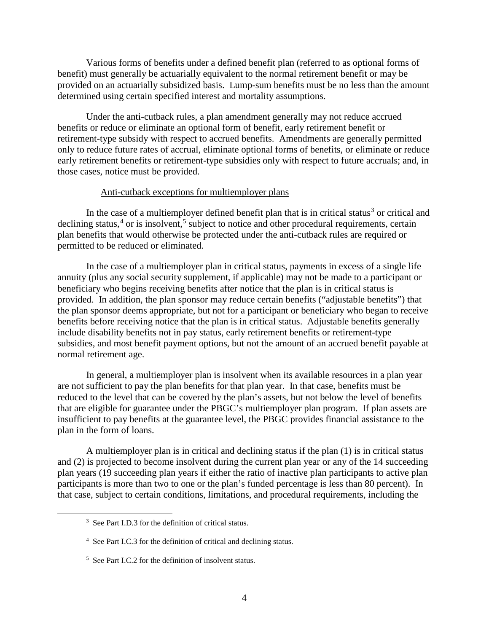Various forms of benefits under a defined benefit plan (referred to as optional forms of benefit) must generally be actuarially equivalent to the normal retirement benefit or may be provided on an actuarially subsidized basis. Lump-sum benefits must be no less than the amount determined using certain specified interest and mortality assumptions.

Under the anti-cutback rules, a plan amendment generally may not reduce accrued benefits or reduce or eliminate an optional form of benefit, early retirement benefit or retirement-type subsidy with respect to accrued benefits. Amendments are generally permitted only to reduce future rates of accrual, eliminate optional forms of benefits, or eliminate or reduce early retirement benefits or retirement-type subsidies only with respect to future accruals; and, in those cases, notice must be provided.

#### Anti-cutback exceptions for multiemployer plans

In the case of a multiemployer defined benefit plan that is in critical status<sup>[3](#page-5-0)</sup> or critical and declining status,<sup>[4](#page-5-1)</sup> or is insolvent,<sup>[5](#page-5-2)</sup> subject to notice and other procedural requirements, certain plan benefits that would otherwise be protected under the anti-cutback rules are required or permitted to be reduced or eliminated.

In the case of a multiemployer plan in critical status, payments in excess of a single life annuity (plus any social security supplement, if applicable) may not be made to a participant or beneficiary who begins receiving benefits after notice that the plan is in critical status is provided. In addition, the plan sponsor may reduce certain benefits ("adjustable benefits") that the plan sponsor deems appropriate, but not for a participant or beneficiary who began to receive benefits before receiving notice that the plan is in critical status. Adjustable benefits generally include disability benefits not in pay status, early retirement benefits or retirement-type subsidies, and most benefit payment options, but not the amount of an accrued benefit payable at normal retirement age.

In general, a multiemployer plan is insolvent when its available resources in a plan year are not sufficient to pay the plan benefits for that plan year. In that case, benefits must be reduced to the level that can be covered by the plan's assets, but not below the level of benefits that are eligible for guarantee under the PBGC's multiemployer plan program. If plan assets are insufficient to pay benefits at the guarantee level, the PBGC provides financial assistance to the plan in the form of loans.

A multiemployer plan is in critical and declining status if the plan (1) is in critical status and (2) is projected to become insolvent during the current plan year or any of the 14 succeeding plan years (19 succeeding plan years if either the ratio of inactive plan participants to active plan participants is more than two to one or the plan's funded percentage is less than 80 percent). In that case, subject to certain conditions, limitations, and procedural requirements, including the

<span id="page-5-0"></span> <sup>3</sup> See Part I.D.3 for the definition of critical status.

<span id="page-5-1"></span><sup>4</sup> See Part I.C.3 for the definition of critical and declining status.

<span id="page-5-2"></span><sup>5</sup> See Part I.C.2 for the definition of insolvent status.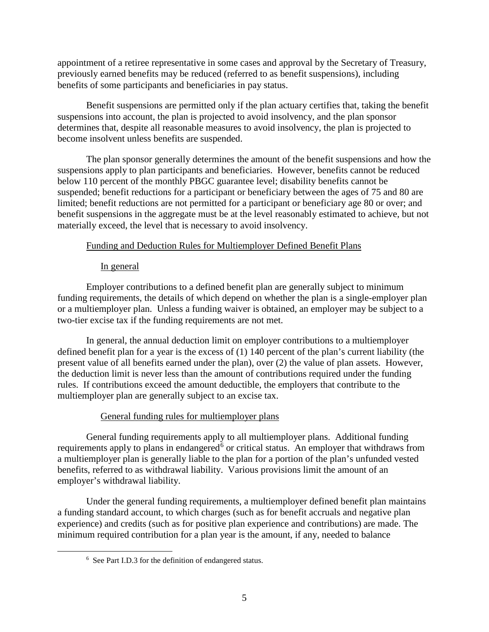appointment of a retiree representative in some cases and approval by the Secretary of Treasury, previously earned benefits may be reduced (referred to as benefit suspensions), including benefits of some participants and beneficiaries in pay status.

Benefit suspensions are permitted only if the plan actuary certifies that, taking the benefit suspensions into account, the plan is projected to avoid insolvency, and the plan sponsor determines that, despite all reasonable measures to avoid insolvency, the plan is projected to become insolvent unless benefits are suspended.

The plan sponsor generally determines the amount of the benefit suspensions and how the suspensions apply to plan participants and beneficiaries. However, benefits cannot be reduced below 110 percent of the monthly PBGC guarantee level; disability benefits cannot be suspended; benefit reductions for a participant or beneficiary between the ages of 75 and 80 are limited; benefit reductions are not permitted for a participant or beneficiary age 80 or over; and benefit suspensions in the aggregate must be at the level reasonably estimated to achieve, but not materially exceed, the level that is necessary to avoid insolvency.

## Funding and Deduction Rules for Multiemployer Defined Benefit Plans

### In general

Employer contributions to a defined benefit plan are generally subject to minimum funding requirements, the details of which depend on whether the plan is a single-employer plan or a multiemployer plan. Unless a funding waiver is obtained, an employer may be subject to a two-tier excise tax if the funding requirements are not met.

In general, the annual deduction limit on employer contributions to a multiemployer defined benefit plan for a year is the excess of (1) 140 percent of the plan's current liability (the present value of all benefits earned under the plan), over (2) the value of plan assets. However, the deduction limit is never less than the amount of contributions required under the funding rules. If contributions exceed the amount deductible, the employers that contribute to the multiemployer plan are generally subject to an excise tax.

## General funding rules for multiemployer plans

General funding requirements apply to all multiemployer plans. Additional funding requirements apply to plans in endangered<sup>[6](#page-6-0)</sup> or critical status. An employer that withdraws from a multiemployer plan is generally liable to the plan for a portion of the plan's unfunded vested benefits, referred to as withdrawal liability. Various provisions limit the amount of an employer's withdrawal liability.

<span id="page-6-0"></span>Under the general funding requirements, a multiemployer defined benefit plan maintains a funding standard account, to which charges (such as for benefit accruals and negative plan experience) and credits (such as for positive plan experience and contributions) are made. The minimum required contribution for a plan year is the amount, if any, needed to balance

 <sup>6</sup> See Part I.D.3 for the definition of endangered status.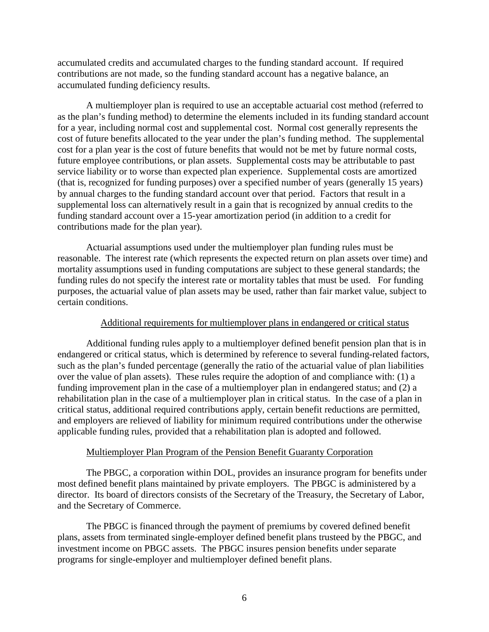accumulated credits and accumulated charges to the funding standard account. If required contributions are not made, so the funding standard account has a negative balance, an accumulated funding deficiency results.

A multiemployer plan is required to use an acceptable actuarial cost method (referred to as the plan's funding method) to determine the elements included in its funding standard account for a year, including normal cost and supplemental cost. Normal cost generally represents the cost of future benefits allocated to the year under the plan's funding method. The supplemental cost for a plan year is the cost of future benefits that would not be met by future normal costs, future employee contributions, or plan assets. Supplemental costs may be attributable to past service liability or to worse than expected plan experience. Supplemental costs are amortized (that is, recognized for funding purposes) over a specified number of years (generally 15 years) by annual charges to the funding standard account over that period. Factors that result in a supplemental loss can alternatively result in a gain that is recognized by annual credits to the funding standard account over a 15-year amortization period (in addition to a credit for contributions made for the plan year).

Actuarial assumptions used under the multiemployer plan funding rules must be reasonable. The interest rate (which represents the expected return on plan assets over time) and mortality assumptions used in funding computations are subject to these general standards; the funding rules do not specify the interest rate or mortality tables that must be used. For funding purposes, the actuarial value of plan assets may be used, rather than fair market value, subject to certain conditions.

#### Additional requirements for multiemployer plans in endangered or critical status

Additional funding rules apply to a multiemployer defined benefit pension plan that is in endangered or critical status, which is determined by reference to several funding-related factors, such as the plan's funded percentage (generally the ratio of the actuarial value of plan liabilities over the value of plan assets). These rules require the adoption of and compliance with: (1) a funding improvement plan in the case of a multiemployer plan in endangered status; and (2) a rehabilitation plan in the case of a multiemployer plan in critical status. In the case of a plan in critical status, additional required contributions apply, certain benefit reductions are permitted, and employers are relieved of liability for minimum required contributions under the otherwise applicable funding rules, provided that a rehabilitation plan is adopted and followed.

#### Multiemployer Plan Program of the Pension Benefit Guaranty Corporation

The PBGC, a corporation within DOL, provides an insurance program for benefits under most defined benefit plans maintained by private employers. The PBGC is administered by a director. Its board of directors consists of the Secretary of the Treasury, the Secretary of Labor, and the Secretary of Commerce.

The PBGC is financed through the payment of premiums by covered defined benefit plans, assets from terminated single-employer defined benefit plans trusteed by the PBGC, and investment income on PBGC assets. The PBGC insures pension benefits under separate programs for single-employer and multiemployer defined benefit plans.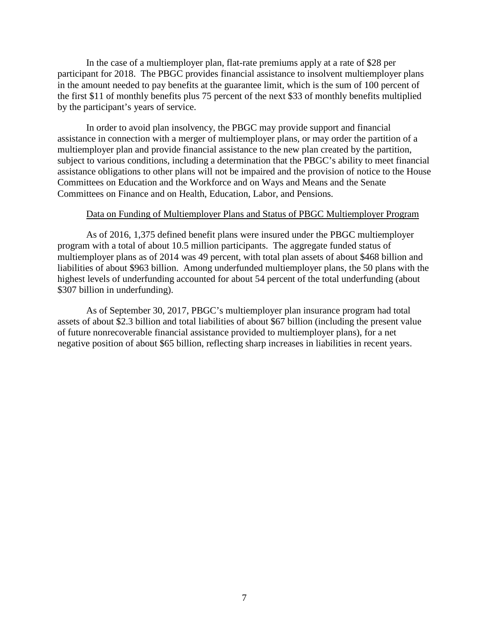In the case of a multiemployer plan, flat-rate premiums apply at a rate of \$28 per participant for 2018. The PBGC provides financial assistance to insolvent multiemployer plans in the amount needed to pay benefits at the guarantee limit, which is the sum of 100 percent of the first \$11 of monthly benefits plus 75 percent of the next \$33 of monthly benefits multiplied by the participant's years of service.

In order to avoid plan insolvency, the PBGC may provide support and financial assistance in connection with a merger of multiemployer plans, or may order the partition of a multiemployer plan and provide financial assistance to the new plan created by the partition, subject to various conditions, including a determination that the PBGC's ability to meet financial assistance obligations to other plans will not be impaired and the provision of notice to the House Committees on Education and the Workforce and on Ways and Means and the Senate Committees on Finance and on Health, Education, Labor, and Pensions.

### Data on Funding of Multiemployer Plans and Status of PBGC Multiemployer Program

As of 2016, 1,375 defined benefit plans were insured under the PBGC multiemployer program with a total of about 10.5 million participants. The aggregate funded status of multiemployer plans as of 2014 was 49 percent, with total plan assets of about \$468 billion and liabilities of about \$963 billion. Among underfunded multiemployer plans, the 50 plans with the highest levels of underfunding accounted for about 54 percent of the total underfunding (about \$307 billion in underfunding).

As of September 30, 2017, PBGC's multiemployer plan insurance program had total assets of about \$2.3 billion and total liabilities of about \$67 billion (including the present value of future nonrecoverable financial assistance provided to multiemployer plans), for a net negative position of about \$65 billion, reflecting sharp increases in liabilities in recent years.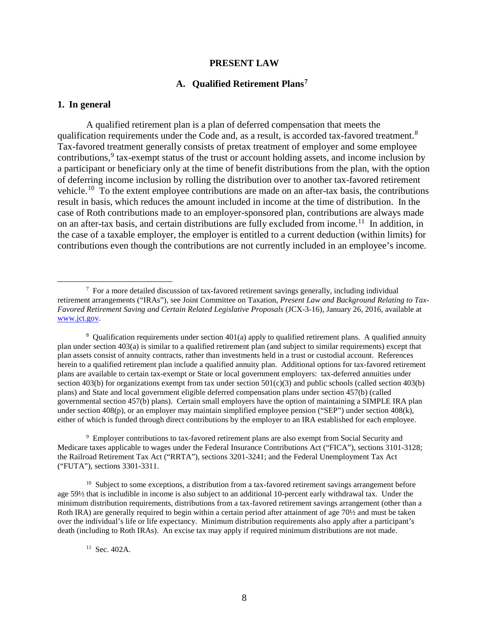#### **PRESENT LAW**

#### **A. Qualified Retirement Plans[7](#page-9-3)**

#### <span id="page-9-2"></span><span id="page-9-1"></span><span id="page-9-0"></span>**1. In general**

A qualified retirement plan is a plan of deferred compensation that meets the qualification requirements under the Code and, as a result, is accorded tax-favored treatment.<sup>[8](#page-9-4)</sup> Tax-favored treatment generally consists of pretax treatment of employer and some employee contributions,<sup>[9](#page-9-5)</sup> tax-exempt status of the trust or account holding assets, and income inclusion by a participant or beneficiary only at the time of benefit distributions from the plan, with the option of deferring income inclusion by rolling the distribution over to another tax-favored retirement vehicle.[10](#page-9-6) To the extent employee contributions are made on an after-tax basis, the contributions result in basis, which reduces the amount included in income at the time of distribution. In the case of Roth contributions made to an employer-sponsored plan, contributions are always made on an after-tax basis, and certain distributions are fully excluded from income.<sup>11</sup> In addition, in the case of a taxable employer, the employer is entitled to a current deduction (within limits) for contributions even though the contributions are not currently included in an employee's income.

<span id="page-9-5"></span><sup>9</sup> Employer contributions to tax-favored retirement plans are also exempt from Social Security and Medicare taxes applicable to wages under the Federal Insurance Contributions Act ("FICA"), sections 3101-3128; the Railroad Retirement Tax Act ("RRTA"), sections 3201-3241; and the Federal Unemployment Tax Act ("FUTA"), sections 3301-3311.

<span id="page-9-6"></span> $10\,$  Subject to some exceptions, a distribution from a tax-favored retirement savings arrangement before age 59½ that is includible in income is also subject to an additional 10-percent early withdrawal tax. Under the minimum distribution requirements, distributions from a tax-favored retirement savings arrangement (other than a Roth IRA) are generally required to begin within a certain period after attainment of age 70½ and must be taken over the individual's life or life expectancy. Minimum distribution requirements also apply after a participant's death (including to Roth IRAs). An excise tax may apply if required minimum distributions are not made.

<span id="page-9-3"></span> <sup>7</sup>  $\frac{7}{10}$  For a more detailed discussion of tax-favored retirement savings generally, including individual retirement arrangements ("IRAs"), see Joint Committee on Taxation, *Present Law and Background Relating to Tax-Favored Retirement Saving and Certain Related Legislative Proposals* (JCX-3-16), January 26, 2016, available at [www.jct.gov.](http://www.jct.gov/)

<span id="page-9-4"></span> $8$  Qualification requirements under section 401(a) apply to qualified retirement plans. A qualified annuity plan under section 403(a) is similar to a qualified retirement plan (and subject to similar requirements) except that plan assets consist of annuity contracts, rather than investments held in a trust or custodial account. References herein to a qualified retirement plan include a qualified annuity plan. Additional options for tax-favored retirement plans are available to certain tax-exempt or State or local government employers: tax-deferred annuities under section 403(b) for organizations exempt from tax under section  $501(c)(3)$  and public schools (called section 403(b) plans) and State and local government eligible deferred compensation plans under section 457(b) (called governmental section 457(b) plans). Certain small employers have the option of maintaining a SIMPLE IRA plan under section 408(p), or an employer may maintain simplified employee pension ("SEP") under section 408(k), either of which is funded through direct contributions by the employer to an IRA established for each employee.

<span id="page-9-7"></span><sup>11</sup> Sec. 402A.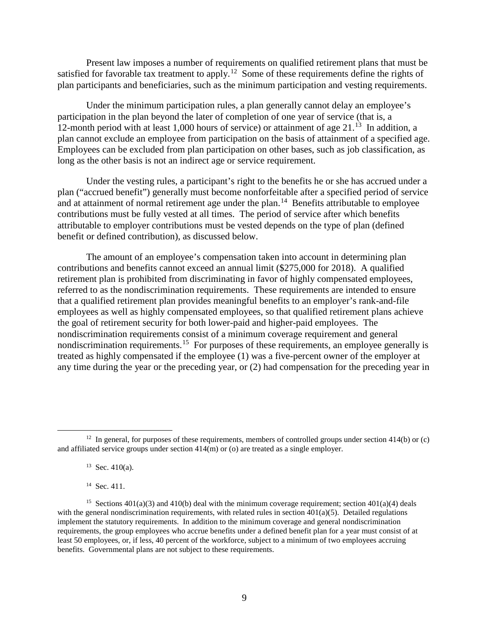Present law imposes a number of requirements on qualified retirement plans that must be satisfied for favorable tax treatment to apply.<sup>[12](#page-10-0)</sup> Some of these requirements define the rights of plan participants and beneficiaries, such as the minimum participation and vesting requirements.

Under the minimum participation rules, a plan generally cannot delay an employee's participation in the plan beyond the later of completion of one year of service (that is, a 12-month period with at least 1,000 hours of service) or attainment of age  $21<sup>13</sup>$  In addition, a plan cannot exclude an employee from participation on the basis of attainment of a specified age. Employees can be excluded from plan participation on other bases, such as job classification, as long as the other basis is not an indirect age or service requirement.

Under the vesting rules, a participant's right to the benefits he or she has accrued under a plan ("accrued benefit") generally must become nonforfeitable after a specified period of service and at attainment of normal retirement age under the plan.<sup>14</sup> Benefits attributable to employee contributions must be fully vested at all times. The period of service after which benefits attributable to employer contributions must be vested depends on the type of plan (defined benefit or defined contribution), as discussed below.

The amount of an employee's compensation taken into account in determining plan contributions and benefits cannot exceed an annual limit (\$275,000 for 2018). A qualified retirement plan is prohibited from discriminating in favor of highly compensated employees, referred to as the nondiscrimination requirements. These requirements are intended to ensure that a qualified retirement plan provides meaningful benefits to an employer's rank-and-file employees as well as highly compensated employees, so that qualified retirement plans achieve the goal of retirement security for both lower-paid and higher-paid employees. The nondiscrimination requirements consist of a minimum coverage requirement and general nondiscrimination requirements.<sup>15</sup> For purposes of these requirements, an employee generally is treated as highly compensated if the employee (1) was a five-percent owner of the employer at any time during the year or the preceding year, or (2) had compensation for the preceding year in

14 Sec. 411.

<span id="page-10-1"></span><span id="page-10-0"></span><sup>&</sup>lt;sup>12</sup> In general, for purposes of these requirements, members of controlled groups under section 414(b) or (c) and affiliated service groups under section  $414(m)$  or (o) are treated as a single employer.

 $13$  Sec. 410(a).

<span id="page-10-3"></span><span id="page-10-2"></span><sup>&</sup>lt;sup>15</sup> Sections  $401(a)(3)$  and  $410(b)$  deal with the minimum coverage requirement; section  $401(a)(4)$  deals with the general nondiscrimination requirements, with related rules in section  $401(a)(5)$ . Detailed regulations implement the statutory requirements. In addition to the minimum coverage and general nondiscrimination requirements, the group employees who accrue benefits under a defined benefit plan for a year must consist of at least 50 employees, or, if less, 40 percent of the workforce, subject to a minimum of two employees accruing benefits. Governmental plans are not subject to these requirements.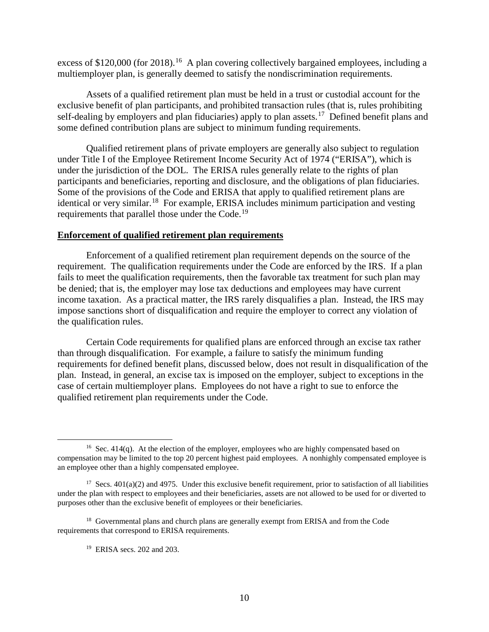excess of \$120,000 (for 2018).<sup>[16](#page-11-0)</sup> A plan covering collectively bargained employees, including a multiemployer plan, is generally deemed to satisfy the nondiscrimination requirements.

Assets of a qualified retirement plan must be held in a trust or custodial account for the exclusive benefit of plan participants, and prohibited transaction rules (that is, rules prohibiting self-dealing by employers and plan fiduciaries) apply to plan assets.<sup>17</sup> Defined benefit plans and some defined contribution plans are subject to minimum funding requirements.

Qualified retirement plans of private employers are generally also subject to regulation under Title I of the Employee Retirement Income Security Act of 1974 ("ERISA"), which is under the jurisdiction of the DOL. The ERISA rules generally relate to the rights of plan participants and beneficiaries, reporting and disclosure, and the obligations of plan fiduciaries. Some of the provisions of the Code and ERISA that apply to qualified retirement plans are identical or very similar.<sup>18</sup> For example, ERISA includes minimum participation and vesting requirements that parallel those under the Code.<sup>[19](#page-11-3)</sup>

#### **Enforcement of qualified retirement plan requirements**

Enforcement of a qualified retirement plan requirement depends on the source of the requirement. The qualification requirements under the Code are enforced by the IRS. If a plan fails to meet the qualification requirements, then the favorable tax treatment for such plan may be denied; that is, the employer may lose tax deductions and employees may have current income taxation. As a practical matter, the IRS rarely disqualifies a plan. Instead, the IRS may impose sanctions short of disqualification and require the employer to correct any violation of the qualification rules.

Certain Code requirements for qualified plans are enforced through an excise tax rather than through disqualification. For example, a failure to satisfy the minimum funding requirements for defined benefit plans, discussed below, does not result in disqualification of the plan. Instead, in general, an excise tax is imposed on the employer, subject to exceptions in the case of certain multiemployer plans. Employees do not have a right to sue to enforce the qualified retirement plan requirements under the Code.

<span id="page-11-0"></span><sup>&</sup>lt;sup>16</sup> Sec. 414(q). At the election of the employer, employees who are highly compensated based on compensation may be limited to the top 20 percent highest paid employees. A nonhighly compensated employee is an employee other than a highly compensated employee.

<span id="page-11-1"></span><sup>&</sup>lt;sup>17</sup> Secs.  $401(a)(2)$  and  $4975$ . Under this exclusive benefit requirement, prior to satisfaction of all liabilities under the plan with respect to employees and their beneficiaries, assets are not allowed to be used for or diverted to purposes other than the exclusive benefit of employees or their beneficiaries.

<span id="page-11-3"></span><span id="page-11-2"></span><sup>&</sup>lt;sup>18</sup> Governmental plans and church plans are generally exempt from ERISA and from the Code requirements that correspond to ERISA requirements.

<sup>19</sup> ERISA secs. 202 and 203.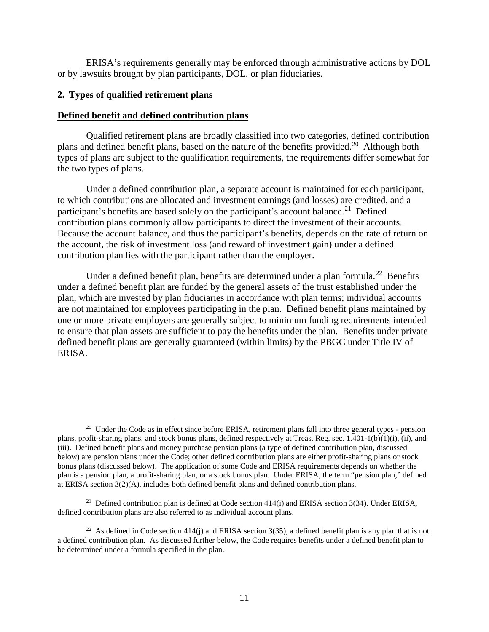ERISA's requirements generally may be enforced through administrative actions by DOL or by lawsuits brought by plan participants, DOL, or plan fiduciaries.

### <span id="page-12-0"></span>**2. Types of qualified retirement plans**

### **Defined benefit and defined contribution plans**

Qualified retirement plans are broadly classified into two categories, defined contribution plans and defined benefit plans, based on the nature of the benefits provided.<sup>[20](#page-12-1)</sup> Although both types of plans are subject to the qualification requirements, the requirements differ somewhat for the two types of plans.

Under a defined contribution plan, a separate account is maintained for each participant, to which contributions are allocated and investment earnings (and losses) are credited, and a participant's benefits are based solely on the participant's account balance.<sup>21</sup> Defined contribution plans commonly allow participants to direct the investment of their accounts. Because the account balance, and thus the participant's benefits, depends on the rate of return on the account, the risk of investment loss (and reward of investment gain) under a defined contribution plan lies with the participant rather than the employer.

Under a defined benefit plan, benefits are determined under a plan formula.<sup>22</sup> Benefits under a defined benefit plan are funded by the general assets of the trust established under the plan, which are invested by plan fiduciaries in accordance with plan terms; individual accounts are not maintained for employees participating in the plan. Defined benefit plans maintained by one or more private employers are generally subject to minimum funding requirements intended to ensure that plan assets are sufficient to pay the benefits under the plan. Benefits under private defined benefit plans are generally guaranteed (within limits) by the PBGC under Title IV of ERISA.

<span id="page-12-1"></span><sup>&</sup>lt;sup>20</sup> Under the Code as in effect since before ERISA, retirement plans fall into three general types - pension plans, profit-sharing plans, and stock bonus plans, defined respectively at Treas. Reg. sec.  $1.401-1(b)(1)(i)$ , (ii), and (iii). Defined benefit plans and money purchase pension plans (a type of defined contribution plan, discussed below) are pension plans under the Code; other defined contribution plans are either profit-sharing plans or stock bonus plans (discussed below). The application of some Code and ERISA requirements depends on whether the plan is a pension plan, a profit-sharing plan, or a stock bonus plan. Under ERISA, the term "pension plan," defined at ERISA section 3(2)(A), includes both defined benefit plans and defined contribution plans.

<span id="page-12-2"></span><sup>&</sup>lt;sup>21</sup> Defined contribution plan is defined at Code section  $414(i)$  and ERISA section  $3(34)$ . Under ERISA, defined contribution plans are also referred to as individual account plans.

<span id="page-12-3"></span><sup>&</sup>lt;sup>22</sup> As defined in Code section  $414(j)$  and ERISA section  $3(35)$ , a defined benefit plan is any plan that is not a defined contribution plan. As discussed further below, the Code requires benefits under a defined benefit plan to be determined under a formula specified in the plan.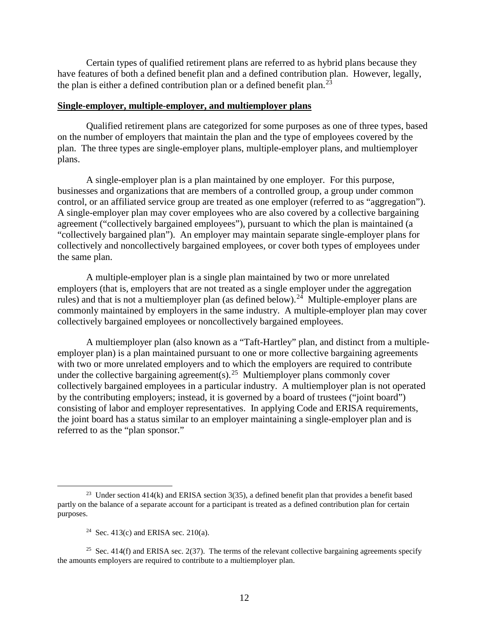Certain types of qualified retirement plans are referred to as hybrid plans because they have features of both a defined benefit plan and a defined contribution plan. However, legally, the plan is either a defined contribution plan or a defined benefit plan.<sup>[23](#page-13-0)</sup>

#### **Single-employer, multiple-employer, and multiemployer plans**

Qualified retirement plans are categorized for some purposes as one of three types, based on the number of employers that maintain the plan and the type of employees covered by the plan. The three types are single-employer plans, multiple-employer plans, and multiemployer plans.

A single-employer plan is a plan maintained by one employer. For this purpose, businesses and organizations that are members of a controlled group, a group under common control, or an affiliated service group are treated as one employer (referred to as "aggregation"). A single-employer plan may cover employees who are also covered by a collective bargaining agreement ("collectively bargained employees"), pursuant to which the plan is maintained (a "collectively bargained plan"). An employer may maintain separate single-employer plans for collectively and noncollectively bargained employees, or cover both types of employees under the same plan.

A multiple-employer plan is a single plan maintained by two or more unrelated employers (that is, employers that are not treated as a single employer under the aggregation rules) and that is not a multiemployer plan (as defined below).<sup>24</sup> Multiple-employer plans are commonly maintained by employers in the same industry. A multiple-employer plan may cover collectively bargained employees or noncollectively bargained employees.

A multiemployer plan (also known as a "Taft-Hartley" plan, and distinct from a multipleemployer plan) is a plan maintained pursuant to one or more collective bargaining agreements with two or more unrelated employers and to which the employers are required to contribute under the collective bargaining agreement(s).<sup>[25](#page-13-2)</sup> Multiemployer plans commonly cover collectively bargained employees in a particular industry. A multiemployer plan is not operated by the contributing employers; instead, it is governed by a board of trustees ("joint board") consisting of labor and employer representatives. In applying Code and ERISA requirements, the joint board has a status similar to an employer maintaining a single-employer plan and is referred to as the "plan sponsor."

<span id="page-13-0"></span><sup>&</sup>lt;sup>23</sup> Under section  $414(k)$  and ERISA section  $3(35)$ , a defined benefit plan that provides a benefit based partly on the balance of a separate account for a participant is treated as a defined contribution plan for certain purposes.

<sup>&</sup>lt;sup>24</sup> Sec. 413(c) and ERISA sec. 210(a).

<span id="page-13-2"></span><span id="page-13-1"></span><sup>&</sup>lt;sup>25</sup> Sec. 414(f) and ERISA sec. 2(37). The terms of the relevant collective bargaining agreements specify the amounts employers are required to contribute to a multiemployer plan.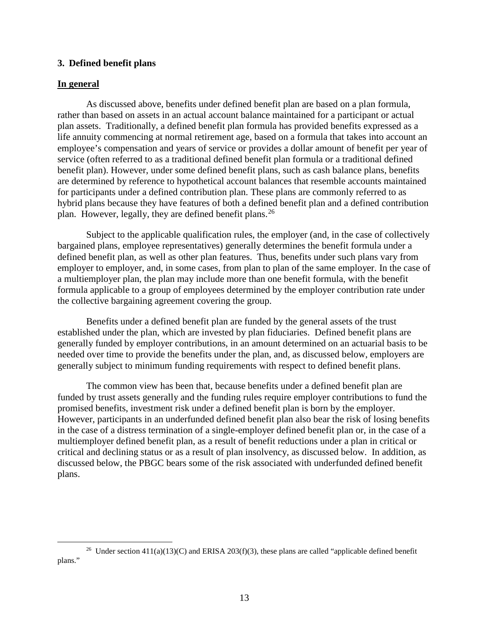### <span id="page-14-0"></span>**3. Defined benefit plans**

#### **In general**

As discussed above, benefits under defined benefit plan are based on a plan formula, rather than based on assets in an actual account balance maintained for a participant or actual plan assets. Traditionally, a defined benefit plan formula has provided benefits expressed as a life annuity commencing at normal retirement age, based on a formula that takes into account an employee's compensation and years of service or provides a dollar amount of benefit per year of service (often referred to as a traditional defined benefit plan formula or a traditional defined benefit plan). However, under some defined benefit plans, such as cash balance plans, benefits are determined by reference to hypothetical account balances that resemble accounts maintained for participants under a defined contribution plan. These plans are commonly referred to as hybrid plans because they have features of both a defined benefit plan and a defined contribution plan. However, legally, they are defined benefit plans.<sup>[26](#page-14-1)</sup>

Subject to the applicable qualification rules, the employer (and, in the case of collectively bargained plans, employee representatives) generally determines the benefit formula under a defined benefit plan, as well as other plan features. Thus, benefits under such plans vary from employer to employer, and, in some cases, from plan to plan of the same employer. In the case of a multiemployer plan, the plan may include more than one benefit formula, with the benefit formula applicable to a group of employees determined by the employer contribution rate under the collective bargaining agreement covering the group.

Benefits under a defined benefit plan are funded by the general assets of the trust established under the plan, which are invested by plan fiduciaries. Defined benefit plans are generally funded by employer contributions, in an amount determined on an actuarial basis to be needed over time to provide the benefits under the plan, and, as discussed below, employers are generally subject to minimum funding requirements with respect to defined benefit plans.

The common view has been that, because benefits under a defined benefit plan are funded by trust assets generally and the funding rules require employer contributions to fund the promised benefits, investment risk under a defined benefit plan is born by the employer. However, participants in an underfunded defined benefit plan also bear the risk of losing benefits in the case of a distress termination of a single-employer defined benefit plan or, in the case of a multiemployer defined benefit plan, as a result of benefit reductions under a plan in critical or critical and declining status or as a result of plan insolvency, as discussed below. In addition, as discussed below, the PBGC bears some of the risk associated with underfunded defined benefit plans.

<span id="page-14-1"></span><sup>&</sup>lt;sup>26</sup> Under section 411(a)(13)(C) and ERISA 203(f)(3), these plans are called "applicable defined benefit plans."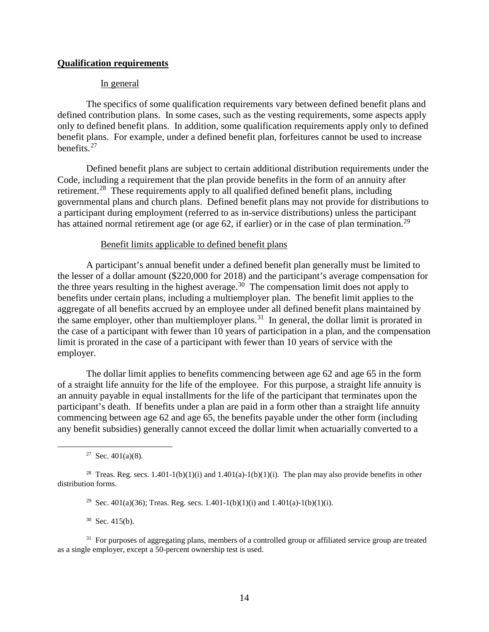### **Qualification requirements**

#### In general

The specifics of some qualification requirements vary between defined benefit plans and defined contribution plans. In some cases, such as the vesting requirements, some aspects apply only to defined benefit plans. In addition, some qualification requirements apply only to defined benefit plans. For example, under a defined benefit plan, forfeitures cannot be used to increase benefits. [27](#page-15-0) 

Defined benefit plans are subject to certain additional distribution requirements under the Code, including a requirement that the plan provide benefits in the form of an annuity after retirement.<sup>28</sup> These requirements apply to all qualified defined benefit plans, including governmental plans and church plans. Defined benefit plans may not provide for distributions to a participant during employment (referred to as in-service distributions) unless the participant has attained normal retirement age (or age 62, if earlier) or in the case of plan termination.<sup>29</sup>

#### Benefit limits applicable to defined benefit plans

A participant's annual benefit under a defined benefit plan generally must be limited to the lesser of a dollar amount (\$220,000 for 2018) and the participant's average compensation for the three years resulting in the highest average.<sup>[30](#page-15-3)</sup> The compensation limit does not apply to benefits under certain plans, including a multiemployer plan. The benefit limit applies to the aggregate of all benefits accrued by an employee under all defined benefit plans maintained by the same employer, other than multiemployer plans.<sup>31</sup> In general, the dollar limit is prorated in the case of a participant with fewer than 10 years of participation in a plan, and the compensation limit is prorated in the case of a participant with fewer than 10 years of service with the employer.

The dollar limit applies to benefits commencing between age 62 and age 65 in the form of a straight life annuity for the life of the employee. For this purpose, a straight life annuity is an annuity payable in equal installments for the life of the participant that terminates upon the participant's death. If benefits under a plan are paid in a form other than a straight life annuity commencing between age 62 and age 65, the benefits payable under the other form (including any benefit subsidies) generally cannot exceed the dollar limit when actuarially converted to a

<sup>27</sup> Sec.  $401(a)(8)$ .

 $30$  Sec. 415(b).

<span id="page-15-4"></span><span id="page-15-3"></span><sup>31</sup> For purposes of aggregating plans, members of a controlled group or affiliated service group are treated as a single employer, except a 50-percent ownership test is used.

<span id="page-15-2"></span><span id="page-15-1"></span><span id="page-15-0"></span><sup>&</sup>lt;sup>28</sup> Treas. Reg. secs.  $1.401-1(b)(1)(i)$  and  $1.401(a)-1(b)(1)(i)$ . The plan may also provide benefits in other distribution forms.

<sup>&</sup>lt;sup>29</sup> Sec. 401(a)(36); Treas. Reg. secs. 1.401-1(b)(1)(i) and 1.401(a)-1(b)(1)(i).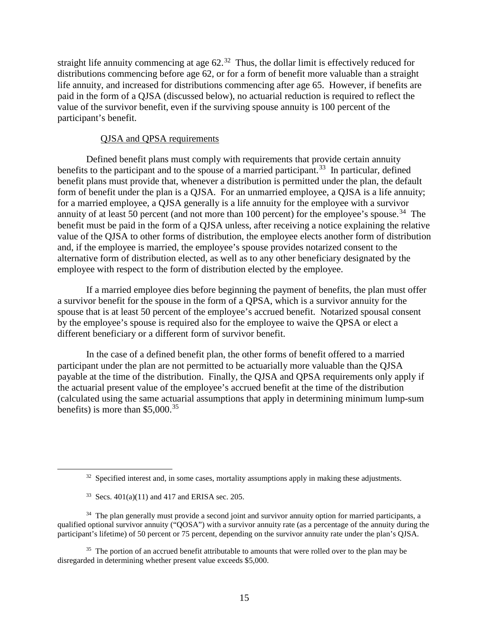straight life annuity commencing at age  $62<sup>32</sup>$ . Thus, the dollar limit is effectively reduced for distributions commencing before age 62, or for a form of benefit more valuable than a straight life annuity, and increased for distributions commencing after age 65. However, if benefits are paid in the form of a QJSA (discussed below), no actuarial reduction is required to reflect the value of the survivor benefit, even if the surviving spouse annuity is 100 percent of the participant's benefit.

#### QJSA and QPSA requirements

Defined benefit plans must comply with requirements that provide certain annuity benefits to the participant and to the spouse of a married participant.<sup>33</sup> In particular, defined benefit plans must provide that, whenever a distribution is permitted under the plan, the default form of benefit under the plan is a QJSA. For an unmarried employee, a QJSA is a life annuity; for a married employee, a QJSA generally is a life annuity for the employee with a survivor annuity of at least 50 percent (and not more than 100 percent) for the employee's spouse.<sup>34</sup> The benefit must be paid in the form of a QJSA unless, after receiving a notice explaining the relative value of the QJSA to other forms of distribution, the employee elects another form of distribution and, if the employee is married, the employee's spouse provides notarized consent to the alternative form of distribution elected, as well as to any other beneficiary designated by the employee with respect to the form of distribution elected by the employee.

If a married employee dies before beginning the payment of benefits, the plan must offer a survivor benefit for the spouse in the form of a QPSA, which is a survivor annuity for the spouse that is at least 50 percent of the employee's accrued benefit. Notarized spousal consent by the employee's spouse is required also for the employee to waive the QPSA or elect a different beneficiary or a different form of survivor benefit.

In the case of a defined benefit plan, the other forms of benefit offered to a married participant under the plan are not permitted to be actuarially more valuable than the QJSA payable at the time of the distribution. Finally, the QJSA and QPSA requirements only apply if the actuarial present value of the employee's accrued benefit at the time of the distribution (calculated using the same actuarial assumptions that apply in determining minimum lump-sum benefits) is more than \$5,000. [35](#page-16-3)

 $32$  Specified interest and, in some cases, mortality assumptions apply in making these adjustments.

 $33$  Secs.  $401(a)(11)$  and  $417$  and ERISA sec. 205.

<span id="page-16-2"></span><span id="page-16-1"></span><span id="page-16-0"></span><sup>&</sup>lt;sup>34</sup> The plan generally must provide a second joint and survivor annuity option for married participants, a qualified optional survivor annuity ("QOSA") with a survivor annuity rate (as a percentage of the annuity during the participant's lifetime) of 50 percent or 75 percent, depending on the survivor annuity rate under the plan's QJSA.

<span id="page-16-3"></span><sup>&</sup>lt;sup>35</sup> The portion of an accrued benefit attributable to amounts that were rolled over to the plan may be disregarded in determining whether present value exceeds \$5,000.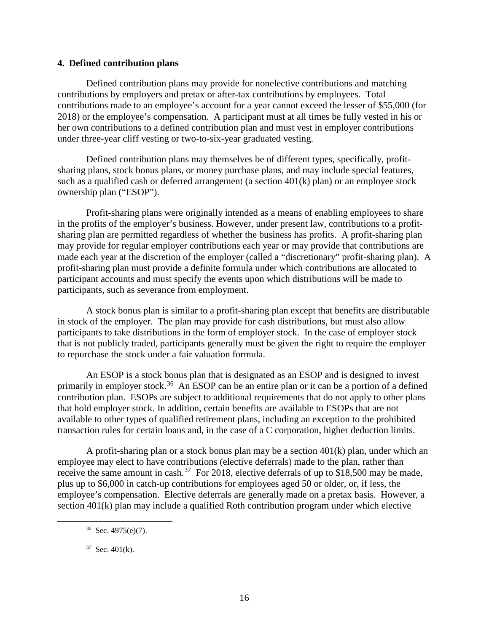### <span id="page-17-0"></span>**4. Defined contribution plans**

Defined contribution plans may provide for nonelective contributions and matching contributions by employers and pretax or after-tax contributions by employees. Total contributions made to an employee's account for a year cannot exceed the lesser of \$55,000 (for 2018) or the employee's compensation. A participant must at all times be fully vested in his or her own contributions to a defined contribution plan and must vest in employer contributions under three-year cliff vesting or two-to-six-year graduated vesting.

Defined contribution plans may themselves be of different types, specifically, profitsharing plans, stock bonus plans, or money purchase plans, and may include special features, such as a qualified cash or deferred arrangement (a section 401(k) plan) or an employee stock ownership plan ("ESOP").

Profit-sharing plans were originally intended as a means of enabling employees to share in the profits of the employer's business. However, under present law, contributions to a profitsharing plan are permitted regardless of whether the business has profits. A profit-sharing plan may provide for regular employer contributions each year or may provide that contributions are made each year at the discretion of the employer (called a "discretionary" profit-sharing plan). A profit-sharing plan must provide a definite formula under which contributions are allocated to participant accounts and must specify the events upon which distributions will be made to participants, such as severance from employment.

A stock bonus plan is similar to a profit-sharing plan except that benefits are distributable in stock of the employer. The plan may provide for cash distributions, but must also allow participants to take distributions in the form of employer stock. In the case of employer stock that is not publicly traded, participants generally must be given the right to require the employer to repurchase the stock under a fair valuation formula.

An ESOP is a stock bonus plan that is designated as an ESOP and is designed to invest primarily in employer stock.<sup>[36](#page-17-1)</sup> An ESOP can be an entire plan or it can be a portion of a defined contribution plan. ESOPs are subject to additional requirements that do not apply to other plans that hold employer stock. In addition, certain benefits are available to ESOPs that are not available to other types of qualified retirement plans, including an exception to the prohibited transaction rules for certain loans and, in the case of a C corporation, higher deduction limits.

A profit-sharing plan or a stock bonus plan may be a section 401(k) plan, under which an employee may elect to have contributions (elective deferrals) made to the plan, rather than receive the same amount in cash.<sup>[37](#page-17-2)</sup> For 2018, elective deferrals of up to \$18,500 may be made, plus up to \$6,000 in catch-up contributions for employees aged 50 or older, or, if less, the employee's compensation. Elective deferrals are generally made on a pretax basis. However, a section 401(k) plan may include a qualified Roth contribution program under which elective

<span id="page-17-1"></span> $36$  Sec. 4975(e)(7).

<span id="page-17-2"></span> $37$  Sec. 401(k).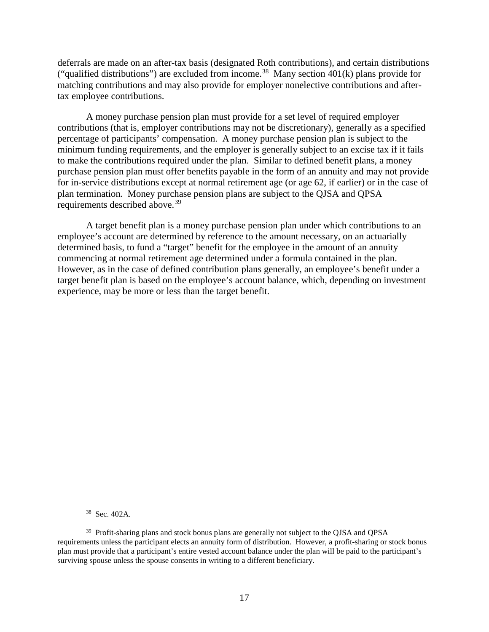deferrals are made on an after-tax basis (designated Roth contributions), and certain distributions ("qualified distributions") are excluded from income.<sup>38</sup> Many section  $401(k)$  plans provide for matching contributions and may also provide for employer nonelective contributions and aftertax employee contributions.

A money purchase pension plan must provide for a set level of required employer contributions (that is, employer contributions may not be discretionary), generally as a specified percentage of participants' compensation. A money purchase pension plan is subject to the minimum funding requirements, and the employer is generally subject to an excise tax if it fails to make the contributions required under the plan. Similar to defined benefit plans, a money purchase pension plan must offer benefits payable in the form of an annuity and may not provide for in-service distributions except at normal retirement age (or age 62, if earlier) or in the case of plan termination. Money purchase pension plans are subject to the QJSA and QPSA requirements described above.<sup>[39](#page-18-1)</sup>

A target benefit plan is a money purchase pension plan under which contributions to an employee's account are determined by reference to the amount necessary, on an actuarially determined basis, to fund a "target" benefit for the employee in the amount of an annuity commencing at normal retirement age determined under a formula contained in the plan. However, as in the case of defined contribution plans generally, an employee's benefit under a target benefit plan is based on the employee's account balance, which, depending on investment experience, may be more or less than the target benefit.

 <sup>38</sup> Sec. 402A.

<span id="page-18-1"></span><span id="page-18-0"></span><sup>&</sup>lt;sup>39</sup> Profit-sharing plans and stock bonus plans are generally not subject to the QJSA and QPSA requirements unless the participant elects an annuity form of distribution. However, a profit-sharing or stock bonus plan must provide that a participant's entire vested account balance under the plan will be paid to the participant's surviving spouse unless the spouse consents in writing to a different beneficiary.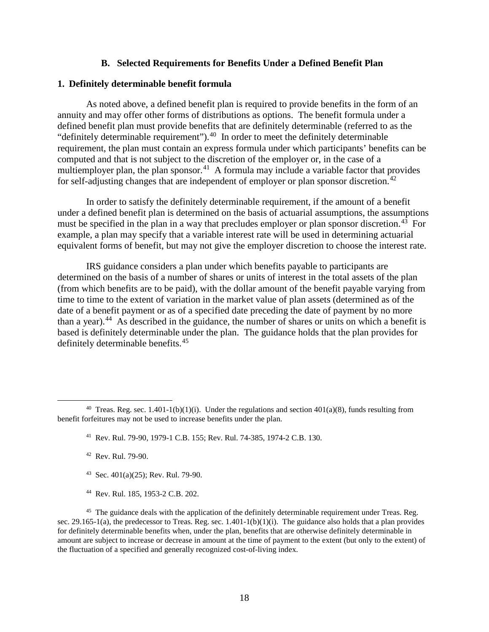#### **B. Selected Requirements for Benefits Under a Defined Benefit Plan**

### <span id="page-19-1"></span><span id="page-19-0"></span>**1. Definitely determinable benefit formula**

As noted above, a defined benefit plan is required to provide benefits in the form of an annuity and may offer other forms of distributions as options. The benefit formula under a defined benefit plan must provide benefits that are definitely determinable (referred to as the "definitely determinable requirement").[40](#page-19-2) In order to meet the definitely determinable requirement, the plan must contain an express formula under which participants' benefits can be computed and that is not subject to the discretion of the employer or, in the case of a multiemployer plan, the plan sponsor.<sup>41</sup> A formula may include a variable factor that provides for self-adjusting changes that are independent of employer or plan sponsor discretion.<sup>[42](#page-19-4)</sup>

In order to satisfy the definitely determinable requirement, if the amount of a benefit under a defined benefit plan is determined on the basis of actuarial assumptions, the assumptions must be specified in the plan in a way that precludes employer or plan sponsor discretion.<sup>43</sup> For example, a plan may specify that a variable interest rate will be used in determining actuarial equivalent forms of benefit, but may not give the employer discretion to choose the interest rate.

IRS guidance considers a plan under which benefits payable to participants are determined on the basis of a number of shares or units of interest in the total assets of the plan (from which benefits are to be paid), with the dollar amount of the benefit payable varying from time to time to the extent of variation in the market value of plan assets (determined as of the date of a benefit payment or as of a specified date preceding the date of payment by no more than a year).<sup>[44](#page-19-6)</sup> As described in the guidance, the number of shares or units on which a benefit is based is definitely determinable under the plan. The guidance holds that the plan provides for definitely determinable benefits.<sup>[45](#page-19-7)</sup>

- 43 Sec. 401(a)(25); Rev. Rul. 79-90.
- 44 Rev. Rul. 185, 1953-2 C.B. 202.

<span id="page-19-7"></span><span id="page-19-6"></span><span id="page-19-5"></span><sup>45</sup> The guidance deals with the application of the definitely determinable requirement under Treas. Reg. sec. 29.165-1(a), the predecessor to Treas. Reg. sec. 1.401-1(b)(1)(i). The guidance also holds that a plan provides for definitely determinable benefits when, under the plan, benefits that are otherwise definitely determinable in amount are subject to increase or decrease in amount at the time of payment to the extent (but only to the extent) of the fluctuation of a specified and generally recognized cost-of-living index.

<span id="page-19-4"></span><span id="page-19-3"></span><span id="page-19-2"></span><sup>&</sup>lt;sup>40</sup> Treas. Reg. sec. 1.401-1(b)(1)(i). Under the regulations and section 401(a)(8), funds resulting from benefit forfeitures may not be used to increase benefits under the plan.

<sup>41</sup> Rev. Rul. 79-90, 1979-1 C.B. 155; Rev. Rul. 74-385, 1974-2 C.B. 130.

<sup>42</sup> Rev. Rul. 79-90.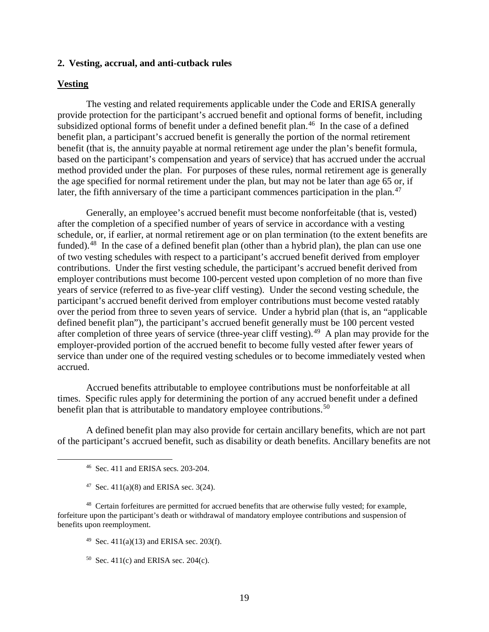#### <span id="page-20-0"></span>**2. Vesting, accrual, and anti-cutback rules**

### **Vesting**

The vesting and related requirements applicable under the Code and ERISA generally provide protection for the participant's accrued benefit and optional forms of benefit, including subsidized optional forms of benefit under a defined benefit plan.<sup>[46](#page-20-1)</sup> In the case of a defined benefit plan, a participant's accrued benefit is generally the portion of the normal retirement benefit (that is, the annuity payable at normal retirement age under the plan's benefit formula, based on the participant's compensation and years of service) that has accrued under the accrual method provided under the plan. For purposes of these rules, normal retirement age is generally the age specified for normal retirement under the plan, but may not be later than age 65 or, if later, the fifth anniversary of the time a participant commences participation in the plan.<sup>[47](#page-20-2)</sup>

Generally, an employee's accrued benefit must become nonforfeitable (that is, vested) after the completion of a specified number of years of service in accordance with a vesting schedule, or, if earlier, at normal retirement age or on plan termination (to the extent benefits are funded).<sup>48</sup> In the case of a defined benefit plan (other than a hybrid plan), the plan can use one of two vesting schedules with respect to a participant's accrued benefit derived from employer contributions. Under the first vesting schedule, the participant's accrued benefit derived from employer contributions must become 100-percent vested upon completion of no more than five years of service (referred to as five-year cliff vesting). Under the second vesting schedule, the participant's accrued benefit derived from employer contributions must become vested ratably over the period from three to seven years of service. Under a hybrid plan (that is, an "applicable defined benefit plan"), the participant's accrued benefit generally must be 100 percent vested after completion of three years of service (three-year cliff vesting).<sup>[49](#page-20-4)</sup> A plan may provide for the employer-provided portion of the accrued benefit to become fully vested after fewer years of service than under one of the required vesting schedules or to become immediately vested when accrued.

Accrued benefits attributable to employee contributions must be nonforfeitable at all times. Specific rules apply for determining the portion of any accrued benefit under a defined benefit plan that is attributable to mandatory employee contributions.<sup>[50](#page-20-5)</sup>

A defined benefit plan may also provide for certain ancillary benefits, which are not part of the participant's accrued benefit, such as disability or death benefits. Ancillary benefits are not

<sup>47</sup> Sec.  $411(a)(8)$  and ERISA sec. 3(24).

<span id="page-20-5"></span><span id="page-20-4"></span><span id="page-20-3"></span><span id="page-20-2"></span><span id="page-20-1"></span>48 Certain forfeitures are permitted for accrued benefits that are otherwise fully vested; for example, forfeiture upon the participant's death or withdrawal of mandatory employee contributions and suspension of benefits upon reemployment.

- <sup>49</sup> Sec. 411(a)(13) and ERISA sec. 203(f).
- $50$  Sec. 411(c) and ERISA sec. 204(c).

 <sup>46</sup> Sec. 411 and ERISA secs. 203-204.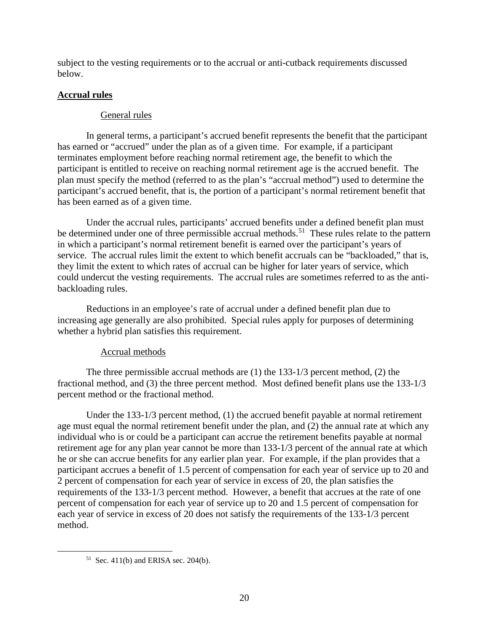subject to the vesting requirements or to the accrual or anti-cutback requirements discussed below.

## **Accrual rules**

### General rules

In general terms, a participant's accrued benefit represents the benefit that the participant has earned or "accrued" under the plan as of a given time. For example, if a participant terminates employment before reaching normal retirement age, the benefit to which the participant is entitled to receive on reaching normal retirement age is the accrued benefit. The plan must specify the method (referred to as the plan's "accrual method") used to determine the participant's accrued benefit, that is, the portion of a participant's normal retirement benefit that has been earned as of a given time.

Under the accrual rules, participants' accrued benefits under a defined benefit plan must be determined under one of three permissible accrual methods.<sup>[51](#page-21-0)</sup> These rules relate to the pattern in which a participant's normal retirement benefit is earned over the participant's years of service. The accrual rules limit the extent to which benefit accruals can be "backloaded," that is, they limit the extent to which rates of accrual can be higher for later years of service, which could undercut the vesting requirements. The accrual rules are sometimes referred to as the antibackloading rules.

Reductions in an employee's rate of accrual under a defined benefit plan due to increasing age generally are also prohibited. Special rules apply for purposes of determining whether a hybrid plan satisfies this requirement.

## Accrual methods

The three permissible accrual methods are (1) the 133-1/3 percent method, (2) the fractional method, and (3) the three percent method. Most defined benefit plans use the 133-1/3 percent method or the fractional method.

Under the 133-1/3 percent method, (1) the accrued benefit payable at normal retirement age must equal the normal retirement benefit under the plan, and (2) the annual rate at which any individual who is or could be a participant can accrue the retirement benefits payable at normal retirement age for any plan year cannot be more than 133-1/3 percent of the annual rate at which he or she can accrue benefits for any earlier plan year. For example, if the plan provides that a participant accrues a benefit of 1.5 percent of compensation for each year of service up to 20 and 2 percent of compensation for each year of service in excess of 20, the plan satisfies the requirements of the 133-1/3 percent method. However, a benefit that accrues at the rate of one percent of compensation for each year of service up to 20 and 1.5 percent of compensation for each year of service in excess of 20 does not satisfy the requirements of the 133-1/3 percent method.

<span id="page-21-0"></span><sup>&</sup>lt;sup>51</sup> Sec. 411(b) and ERISA sec. 204(b).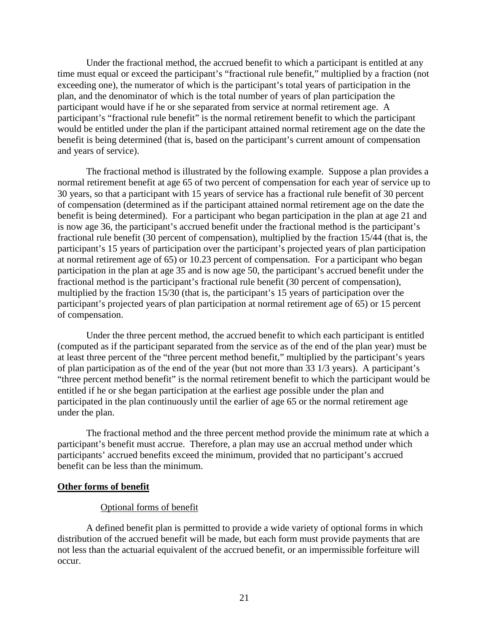Under the fractional method, the accrued benefit to which a participant is entitled at any time must equal or exceed the participant's "fractional rule benefit," multiplied by a fraction (not exceeding one), the numerator of which is the participant's total years of participation in the plan, and the denominator of which is the total number of years of plan participation the participant would have if he or she separated from service at normal retirement age. A participant's "fractional rule benefit" is the normal retirement benefit to which the participant would be entitled under the plan if the participant attained normal retirement age on the date the benefit is being determined (that is, based on the participant's current amount of compensation and years of service).

The fractional method is illustrated by the following example. Suppose a plan provides a normal retirement benefit at age 65 of two percent of compensation for each year of service up to 30 years, so that a participant with 15 years of service has a fractional rule benefit of 30 percent of compensation (determined as if the participant attained normal retirement age on the date the benefit is being determined). For a participant who began participation in the plan at age 21 and is now age 36, the participant's accrued benefit under the fractional method is the participant's fractional rule benefit (30 percent of compensation), multiplied by the fraction 15/44 (that is, the participant's 15 years of participation over the participant's projected years of plan participation at normal retirement age of 65) or 10.23 percent of compensation. For a participant who began participation in the plan at age 35 and is now age 50, the participant's accrued benefit under the fractional method is the participant's fractional rule benefit (30 percent of compensation), multiplied by the fraction 15/30 (that is, the participant's 15 years of participation over the participant's projected years of plan participation at normal retirement age of 65) or 15 percent of compensation.

Under the three percent method, the accrued benefit to which each participant is entitled (computed as if the participant separated from the service as of the end of the plan year) must be at least three percent of the "three percent method benefit," multiplied by the participant's years of plan participation as of the end of the year (but not more than 33 1/3 years). A participant's "three percent method benefit" is the normal retirement benefit to which the participant would be entitled if he or she began participation at the earliest age possible under the plan and participated in the plan continuously until the earlier of age 65 or the normal retirement age under the plan.

The fractional method and the three percent method provide the minimum rate at which a participant's benefit must accrue. Therefore, a plan may use an accrual method under which participants' accrued benefits exceed the minimum, provided that no participant's accrued benefit can be less than the minimum.

### **Other forms of benefit**

#### Optional forms of benefit

A defined benefit plan is permitted to provide a wide variety of optional forms in which distribution of the accrued benefit will be made, but each form must provide payments that are not less than the actuarial equivalent of the accrued benefit, or an impermissible forfeiture will occur.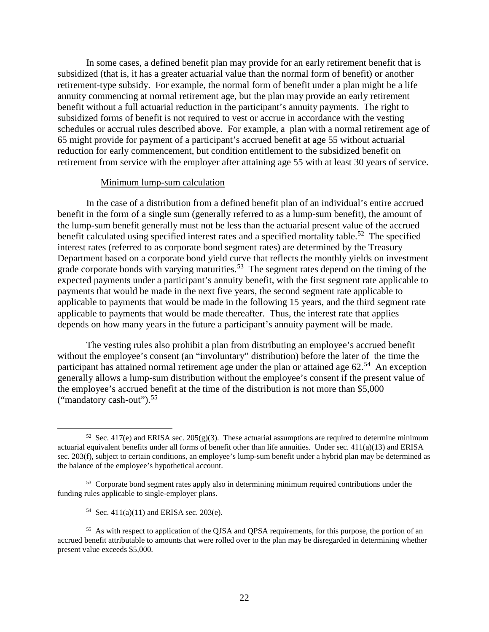In some cases, a defined benefit plan may provide for an early retirement benefit that is subsidized (that is, it has a greater actuarial value than the normal form of benefit) or another retirement-type subsidy. For example, the normal form of benefit under a plan might be a life annuity commencing at normal retirement age, but the plan may provide an early retirement benefit without a full actuarial reduction in the participant's annuity payments. The right to subsidized forms of benefit is not required to vest or accrue in accordance with the vesting schedules or accrual rules described above. For example, a plan with a normal retirement age of 65 might provide for payment of a participant's accrued benefit at age 55 without actuarial reduction for early commencement, but condition entitlement to the subsidized benefit on retirement from service with the employer after attaining age 55 with at least 30 years of service.

#### Minimum lump-sum calculation

In the case of a distribution from a defined benefit plan of an individual's entire accrued benefit in the form of a single sum (generally referred to as a lump-sum benefit), the amount of the lump-sum benefit generally must not be less than the actuarial present value of the accrued benefit calculated using specified interest rates and a specified mortality table.<sup>[52](#page-23-0)</sup> The specified interest rates (referred to as corporate bond segment rates) are determined by the Treasury Department based on a corporate bond yield curve that reflects the monthly yields on investment grade corporate bonds with varying maturities.<sup>[53](#page-23-1)</sup> The segment rates depend on the timing of the expected payments under a participant's annuity benefit, with the first segment rate applicable to payments that would be made in the next five years, the second segment rate applicable to applicable to payments that would be made in the following 15 years, and the third segment rate applicable to payments that would be made thereafter. Thus, the interest rate that applies depends on how many years in the future a participant's annuity payment will be made.

The vesting rules also prohibit a plan from distributing an employee's accrued benefit without the employee's consent (an "involuntary" distribution) before the later of the time the participant has attained normal retirement age under the plan or attained age 62.<sup>[54](#page-23-2)</sup> An exception generally allows a lump-sum distribution without the employee's consent if the present value of the employee's accrued benefit at the time of the distribution is not more than \$5,000 ("mandatory cash-out"). [55](#page-23-3)

54 Sec.  $411(a)(11)$  and ERISA sec. 203(e).

<span id="page-23-0"></span><sup>&</sup>lt;sup>52</sup> Sec. 417(e) and ERISA sec. 205(g)(3). These actuarial assumptions are required to determine minimum actuarial equivalent benefits under all forms of benefit other than life annuities. Under sec. 411(a)(13) and ERISA sec. 203(f), subject to certain conditions, an employee's lump-sum benefit under a hybrid plan may be determined as the balance of the employee's hypothetical account.

<span id="page-23-1"></span><sup>&</sup>lt;sup>53</sup> Corporate bond segment rates apply also in determining minimum required contributions under the funding rules applicable to single-employer plans.

<span id="page-23-3"></span><span id="page-23-2"></span><sup>&</sup>lt;sup>55</sup> As with respect to application of the QJSA and QPSA requirements, for this purpose, the portion of an accrued benefit attributable to amounts that were rolled over to the plan may be disregarded in determining whether present value exceeds \$5,000.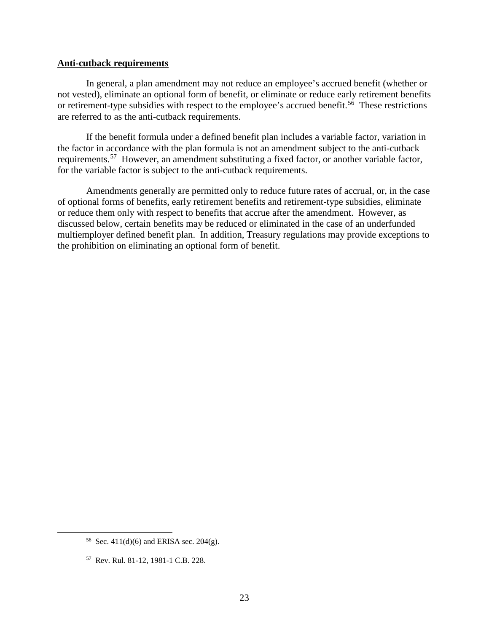#### **Anti-cutback requirements**

In general, a plan amendment may not reduce an employee's accrued benefit (whether or not vested), eliminate an optional form of benefit, or eliminate or reduce early retirement benefits or retirement-type subsidies with respect to the employee's accrued benefit.<sup>56</sup> These restrictions are referred to as the anti-cutback requirements.

If the benefit formula under a defined benefit plan includes a variable factor, variation in the factor in accordance with the plan formula is not an amendment subject to the anti-cutback requirements.<sup>[57](#page-24-1)</sup> However, an amendment substituting a fixed factor, or another variable factor, for the variable factor is subject to the anti-cutback requirements.

Amendments generally are permitted only to reduce future rates of accrual, or, in the case of optional forms of benefits, early retirement benefits and retirement-type subsidies, eliminate or reduce them only with respect to benefits that accrue after the amendment. However, as discussed below, certain benefits may be reduced or eliminated in the case of an underfunded multiemployer defined benefit plan. In addition, Treasury regulations may provide exceptions to the prohibition on eliminating an optional form of benefit.

<span id="page-24-0"></span><sup>&</sup>lt;sup>56</sup> Sec. 411(d)(6) and ERISA sec. 204(g).

<span id="page-24-1"></span><sup>57</sup> Rev. Rul. 81-12, 1981-1 C.B. 228.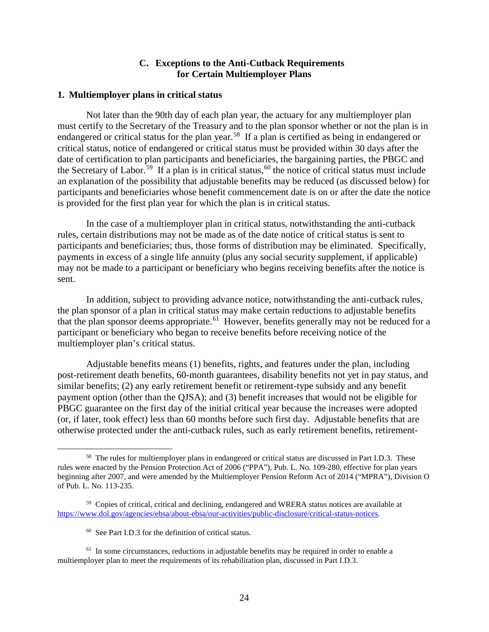### **C. Exceptions to the Anti-Cutback Requirements for Certain Multiemployer Plans**

#### <span id="page-25-1"></span><span id="page-25-0"></span>**1. Multiemployer plans in critical status**

Not later than the 90th day of each plan year, the actuary for any multiemployer plan must certify to the Secretary of the Treasury and to the plan sponsor whether or not the plan is in endangered or critical status for the plan year.<sup>58</sup> If a plan is certified as being in endangered or critical status, notice of endangered or critical status must be provided within 30 days after the date of certification to plan participants and beneficiaries, the bargaining parties, the PBGC and the Secretary of Labor.<sup>[59](#page-25-3)</sup> If a plan is in critical status,<sup>[60](#page-25-4)</sup> the notice of critical status must include an explanation of the possibility that adjustable benefits may be reduced (as discussed below) for participants and beneficiaries whose benefit commencement date is on or after the date the notice is provided for the first plan year for which the plan is in critical status.

In the case of a multiemployer plan in critical status, notwithstanding the anti-cutback rules, certain distributions may not be made as of the date notice of critical status is sent to participants and beneficiaries; thus, those forms of distribution may be eliminated. Specifically, payments in excess of a single life annuity (plus any social security supplement, if applicable) may not be made to a participant or beneficiary who begins receiving benefits after the notice is sent.

In addition, subject to providing advance notice, notwithstanding the anti-cutback rules, the plan sponsor of a plan in critical status may make certain reductions to adjustable benefits that the plan sponsor deems appropriate.<sup>61</sup> However, benefits generally may not be reduced for a participant or beneficiary who began to receive benefits before receiving notice of the multiemployer plan's critical status.

Adjustable benefits means (1) benefits, rights, and features under the plan, including post-retirement death benefits, 60-month guarantees, disability benefits not yet in pay status, and similar benefits; (2) any early retirement benefit or retirement-type subsidy and any benefit payment option (other than the QJSA); and (3) benefit increases that would not be eligible for PBGC guarantee on the first day of the initial critical year because the increases were adopted (or, if later, took effect) less than 60 months before such first day. Adjustable benefits that are otherwise protected under the anti-cutback rules, such as early retirement benefits, retirement-

<span id="page-25-2"></span><sup>&</sup>lt;sup>58</sup> The rules for multiemployer plans in endangered or critical status are discussed in Part I.D.3. These rules were enacted by the Pension Protection Act of 2006 ("PPA"), Pub. L. No. 109-280, effective for plan years beginning after 2007, and were amended by the Multiemployer Pension Reform Act of 2014 ("MPRA"), Division O of Pub. L. No. 113-235.

<span id="page-25-3"></span><sup>59</sup> Copies of critical, critical and declining, endangered and WRERA status notices are available at [https://www.dol.gov/agencies/ebsa/about-ebsa/our-activities/public-disclosure/critical-status-notices.](https://www.dol.gov/agencies/ebsa/about-ebsa/our-activities/public-disclosure/critical-status-notices) 

<sup>60</sup> See Part I.D.3 for the definition of critical status.

<span id="page-25-5"></span><span id="page-25-4"></span> $<sup>61</sup>$  In some circumstances, reductions in adjustable benefits may be required in order to enable a</sup> multiemployer plan to meet the requirements of its rehabilitation plan, discussed in Part I.D.3.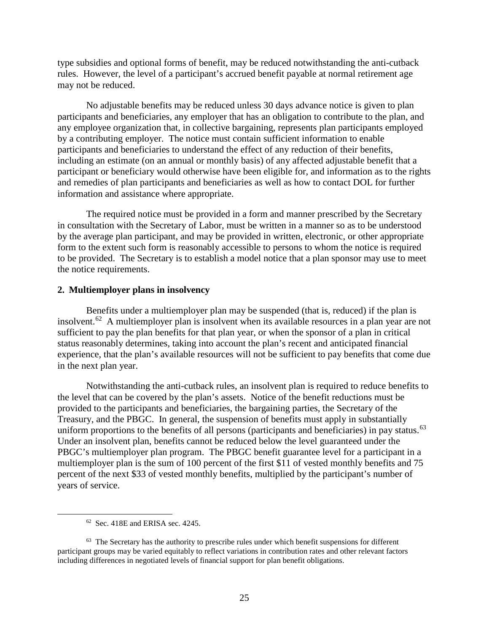type subsidies and optional forms of benefit, may be reduced notwithstanding the anti-cutback rules. However, the level of a participant's accrued benefit payable at normal retirement age may not be reduced.

No adjustable benefits may be reduced unless 30 days advance notice is given to plan participants and beneficiaries, any employer that has an obligation to contribute to the plan, and any employee organization that, in collective bargaining, represents plan participants employed by a contributing employer. The notice must contain sufficient information to enable participants and beneficiaries to understand the effect of any reduction of their benefits, including an estimate (on an annual or monthly basis) of any affected adjustable benefit that a participant or beneficiary would otherwise have been eligible for, and information as to the rights and remedies of plan participants and beneficiaries as well as how to contact DOL for further information and assistance where appropriate.

The required notice must be provided in a form and manner prescribed by the Secretary in consultation with the Secretary of Labor, must be written in a manner so as to be understood by the average plan participant, and may be provided in written, electronic, or other appropriate form to the extent such form is reasonably accessible to persons to whom the notice is required to be provided. The Secretary is to establish a model notice that a plan sponsor may use to meet the notice requirements.

### <span id="page-26-0"></span>**2. Multiemployer plans in insolvency**

Benefits under a multiemployer plan may be suspended (that is, reduced) if the plan is insolvent.<sup>62</sup> A multiemployer plan is insolvent when its available resources in a plan year are not sufficient to pay the plan benefits for that plan year, or when the sponsor of a plan in critical status reasonably determines, taking into account the plan's recent and anticipated financial experience, that the plan's available resources will not be sufficient to pay benefits that come due in the next plan year.

Notwithstanding the anti-cutback rules, an insolvent plan is required to reduce benefits to the level that can be covered by the plan's assets. Notice of the benefit reductions must be provided to the participants and beneficiaries, the bargaining parties, the Secretary of the Treasury, and the PBGC. In general, the suspension of benefits must apply in substantially uniform proportions to the benefits of all persons (participants and beneficiaries) in pay status.<sup>63</sup> Under an insolvent plan, benefits cannot be reduced below the level guaranteed under the PBGC's multiemployer plan program. The PBGC benefit guarantee level for a participant in a multiemployer plan is the sum of 100 percent of the first \$11 of vested monthly benefits and 75 percent of the next \$33 of vested monthly benefits, multiplied by the participant's number of years of service.

 <sup>62</sup> Sec. 418E and ERISA sec. 4245.

<span id="page-26-2"></span><span id="page-26-1"></span> $63$  The Secretary has the authority to prescribe rules under which benefit suspensions for different participant groups may be varied equitably to reflect variations in contribution rates and other relevant factors including differences in negotiated levels of financial support for plan benefit obligations.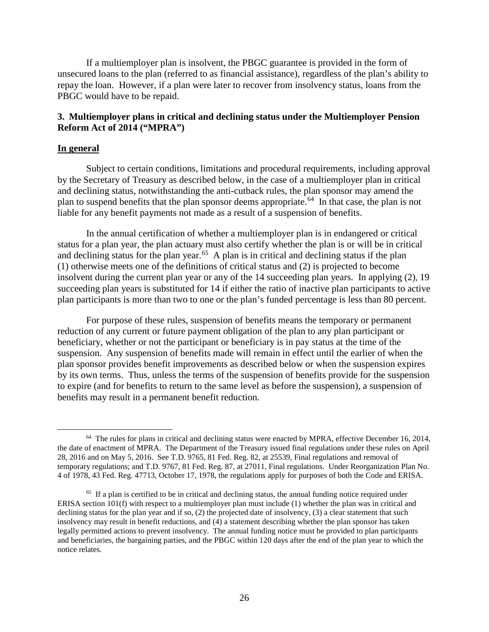If a multiemployer plan is insolvent, the PBGC guarantee is provided in the form of unsecured loans to the plan (referred to as financial assistance), regardless of the plan's ability to repay the loan. However, if a plan were later to recover from insolvency status, loans from the PBGC would have to be repaid.

### <span id="page-27-0"></span>**3. Multiemployer plans in critical and declining status under the Multiemployer Pension Reform Act of 2014 ("MPRA")**

### **In general**

Subject to certain conditions, limitations and procedural requirements, including approval by the Secretary of Treasury as described below, in the case of a multiemployer plan in critical and declining status, notwithstanding the anti-cutback rules, the plan sponsor may amend the plan to suspend benefits that the plan sponsor deems appropriate.<sup>[64](#page-27-1)</sup> In that case, the plan is not liable for any benefit payments not made as a result of a suspension of benefits.

In the annual certification of whether a multiemployer plan is in endangered or critical status for a plan year, the plan actuary must also certify whether the plan is or will be in critical and declining status for the plan year.<sup>[65](#page-27-2)</sup> A plan is in critical and declining status if the plan (1) otherwise meets one of the definitions of critical status and (2) is projected to become insolvent during the current plan year or any of the 14 succeeding plan years. In applying (2), 19 succeeding plan years is substituted for 14 if either the ratio of inactive plan participants to active plan participants is more than two to one or the plan's funded percentage is less than 80 percent.

For purpose of these rules, suspension of benefits means the temporary or permanent reduction of any current or future payment obligation of the plan to any plan participant or beneficiary, whether or not the participant or beneficiary is in pay status at the time of the suspension. Any suspension of benefits made will remain in effect until the earlier of when the plan sponsor provides benefit improvements as described below or when the suspension expires by its own terms. Thus, unless the terms of the suspension of benefits provide for the suspension to expire (and for benefits to return to the same level as before the suspension), a suspension of benefits may result in a permanent benefit reduction.

<span id="page-27-1"></span><sup>&</sup>lt;sup>64</sup> The rules for plans in critical and declining status were enacted by MPRA, effective December 16, 2014, the date of enactment of MPRA. The Department of the Treasury issued final regulations under these rules on April 28, 2016 and on May 5, 2016. See T.D. 9765, 81 Fed. Reg. 82, at 25539, Final regulations and removal of temporary regulations; and T.D. 9767, 81 Fed. Reg. 87, at 27011, Final regulations. Under Reorganization Plan No. 4 of 1978, 43 Fed. Reg. 47713, October 17, 1978, the regulations apply for purposes of both the Code and ERISA.

<span id="page-27-2"></span><sup>&</sup>lt;sup>65</sup> If a plan is certified to be in critical and declining status, the annual funding notice required under ERISA section 101(f) with respect to a multiemployer plan must include (1) whether the plan was in critical and declining status for the plan year and if so, (2) the projected date of insolvency, (3) a clear statement that such insolvency may result in benefit reductions, and (4) a statement describing whether the plan sponsor has taken legally permitted actions to prevent insolvency. The annual funding notice must be provided to plan participants and beneficiaries, the bargaining parties, and the PBGC within 120 days after the end of the plan year to which the notice relates.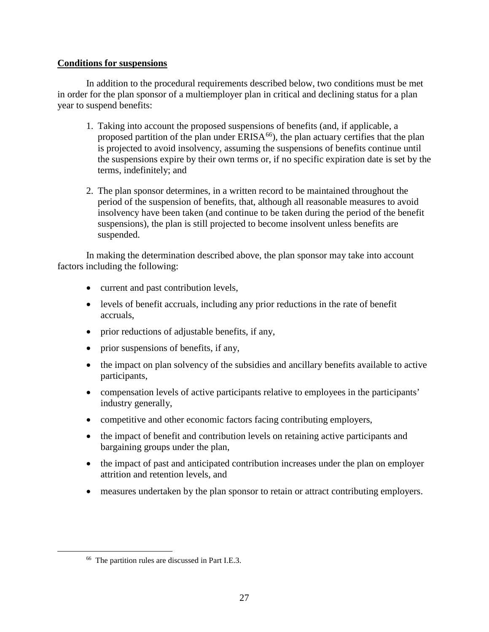### **Conditions for suspensions**

In addition to the procedural requirements described below, two conditions must be met in order for the plan sponsor of a multiemployer plan in critical and declining status for a plan year to suspend benefits:

- 1. Taking into account the proposed suspensions of benefits (and, if applicable, a proposed partition of the plan under  $ERISA^{66}$  $ERISA^{66}$  $ERISA^{66}$ , the plan actuary certifies that the plan is projected to avoid insolvency, assuming the suspensions of benefits continue until the suspensions expire by their own terms or, if no specific expiration date is set by the terms, indefinitely; and
- 2. The plan sponsor determines, in a written record to be maintained throughout the period of the suspension of benefits, that, although all reasonable measures to avoid insolvency have been taken (and continue to be taken during the period of the benefit suspensions), the plan is still projected to become insolvent unless benefits are suspended.

In making the determination described above, the plan sponsor may take into account factors including the following:

- current and past contribution levels,
- levels of benefit accruals, including any prior reductions in the rate of benefit accruals,
- prior reductions of adjustable benefits, if any,
- prior suspensions of benefits, if any,
- the impact on plan solvency of the subsidies and ancillary benefits available to active participants,
- compensation levels of active participants relative to employees in the participants' industry generally,
- competitive and other economic factors facing contributing employers,
- the impact of benefit and contribution levels on retaining active participants and bargaining groups under the plan,
- the impact of past and anticipated contribution increases under the plan on employer attrition and retention levels, and
- measures undertaken by the plan sponsor to retain or attract contributing employers.

<span id="page-28-0"></span> <sup>66</sup> The partition rules are discussed in Part I.E.3.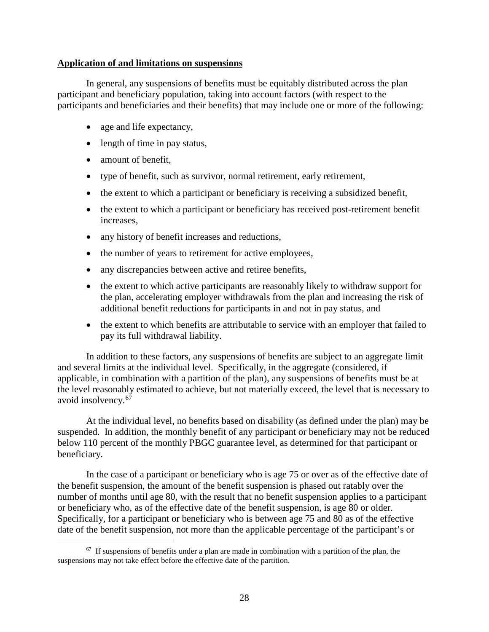### **Application of and limitations on suspensions**

In general, any suspensions of benefits must be equitably distributed across the plan participant and beneficiary population, taking into account factors (with respect to the participants and beneficiaries and their benefits) that may include one or more of the following:

- age and life expectancy,
- length of time in pay status,
- amount of benefit.
- type of benefit, such as survivor, normal retirement, early retirement,
- the extent to which a participant or beneficiary is receiving a subsidized benefit,
- the extent to which a participant or beneficiary has received post-retirement benefit increases,
- any history of benefit increases and reductions,
- the number of years to retirement for active employees,
- any discrepancies between active and retiree benefits,
- the extent to which active participants are reasonably likely to withdraw support for the plan, accelerating employer withdrawals from the plan and increasing the risk of additional benefit reductions for participants in and not in pay status, and
- the extent to which benefits are attributable to service with an employer that failed to pay its full withdrawal liability.

In addition to these factors, any suspensions of benefits are subject to an aggregate limit and several limits at the individual level. Specifically, in the aggregate (considered, if applicable, in combination with a partition of the plan), any suspensions of benefits must be at the level reasonably estimated to achieve, but not materially exceed, the level that is necessary to avoid insolvency.<sup>[67](#page-29-0)</sup>

At the individual level, no benefits based on disability (as defined under the plan) may be suspended. In addition, the monthly benefit of any participant or beneficiary may not be reduced below 110 percent of the monthly PBGC guarantee level, as determined for that participant or beneficiary.

In the case of a participant or beneficiary who is age 75 or over as of the effective date of the benefit suspension, the amount of the benefit suspension is phased out ratably over the number of months until age 80, with the result that no benefit suspension applies to a participant or beneficiary who, as of the effective date of the benefit suspension, is age 80 or older. Specifically, for a participant or beneficiary who is between age 75 and 80 as of the effective date of the benefit suspension, not more than the applicable percentage of the participant's or

<span id="page-29-0"></span> $67$  If suspensions of benefits under a plan are made in combination with a partition of the plan, the suspensions may not take effect before the effective date of the partition.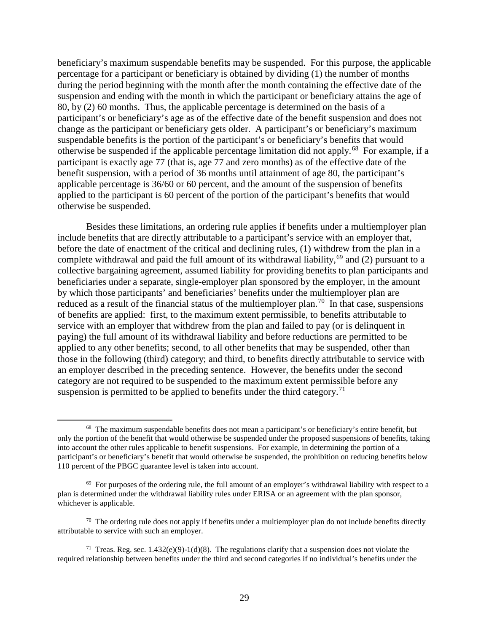beneficiary's maximum suspendable benefits may be suspended. For this purpose, the applicable percentage for a participant or beneficiary is obtained by dividing (1) the number of months during the period beginning with the month after the month containing the effective date of the suspension and ending with the month in which the participant or beneficiary attains the age of 80, by (2) 60 months. Thus, the applicable percentage is determined on the basis of a participant's or beneficiary's age as of the effective date of the benefit suspension and does not change as the participant or beneficiary gets older. A participant's or beneficiary's maximum suspendable benefits is the portion of the participant's or beneficiary's benefits that would otherwise be suspended if the applicable percentage limitation did not apply.[68](#page-30-0) For example, if a participant is exactly age 77 (that is, age 77 and zero months) as of the effective date of the benefit suspension, with a period of 36 months until attainment of age 80, the participant's applicable percentage is 36/60 or 60 percent, and the amount of the suspension of benefits applied to the participant is 60 percent of the portion of the participant's benefits that would otherwise be suspended.

Besides these limitations, an ordering rule applies if benefits under a multiemployer plan include benefits that are directly attributable to a participant's service with an employer that, before the date of enactment of the critical and declining rules, (1) withdrew from the plan in a complete withdrawal and paid the full amount of its withdrawal liability,<sup>[69](#page-30-1)</sup> and (2) pursuant to a collective bargaining agreement, assumed liability for providing benefits to plan participants and beneficiaries under a separate, single-employer plan sponsored by the employer, in the amount by which those participants' and beneficiaries' benefits under the multiemployer plan are reduced as a result of the financial status of the multiemployer plan.<sup>70</sup> In that case, suspensions of benefits are applied: first, to the maximum extent permissible, to benefits attributable to service with an employer that withdrew from the plan and failed to pay (or is delinquent in paying) the full amount of its withdrawal liability and before reductions are permitted to be applied to any other benefits; second, to all other benefits that may be suspended, other than those in the following (third) category; and third, to benefits directly attributable to service with an employer described in the preceding sentence. However, the benefits under the second category are not required to be suspended to the maximum extent permissible before any suspension is permitted to be applied to benefits under the third category.<sup>[71](#page-30-3)</sup>

<span id="page-30-0"></span><sup>&</sup>lt;sup>68</sup> The maximum suspendable benefits does not mean a participant's or beneficiary's entire benefit, but only the portion of the benefit that would otherwise be suspended under the proposed suspensions of benefits, taking into account the other rules applicable to benefit suspensions. For example, in determining the portion of a participant's or beneficiary's benefit that would otherwise be suspended, the prohibition on reducing benefits below 110 percent of the PBGC guarantee level is taken into account.

<span id="page-30-1"></span> $69$  For purposes of the ordering rule, the full amount of an employer's withdrawal liability with respect to a plan is determined under the withdrawal liability rules under ERISA or an agreement with the plan sponsor, whichever is applicable.

<span id="page-30-2"></span> $70$  The ordering rule does not apply if benefits under a multiemployer plan do not include benefits directly attributable to service with such an employer.

<span id="page-30-3"></span><sup>&</sup>lt;sup>71</sup> Treas. Reg. sec. 1.432(e)(9)-1(d)(8). The regulations clarify that a suspension does not violate the required relationship between benefits under the third and second categories if no individual's benefits under the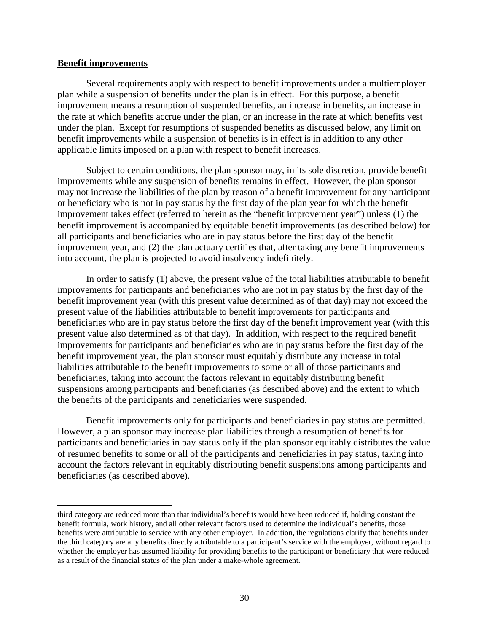#### **Benefit improvements**

 $\overline{a}$ 

Several requirements apply with respect to benefit improvements under a multiemployer plan while a suspension of benefits under the plan is in effect. For this purpose, a benefit improvement means a resumption of suspended benefits, an increase in benefits, an increase in the rate at which benefits accrue under the plan, or an increase in the rate at which benefits vest under the plan. Except for resumptions of suspended benefits as discussed below, any limit on benefit improvements while a suspension of benefits is in effect is in addition to any other applicable limits imposed on a plan with respect to benefit increases.

Subject to certain conditions, the plan sponsor may, in its sole discretion, provide benefit improvements while any suspension of benefits remains in effect. However, the plan sponsor may not increase the liabilities of the plan by reason of a benefit improvement for any participant or beneficiary who is not in pay status by the first day of the plan year for which the benefit improvement takes effect (referred to herein as the "benefit improvement year") unless (1) the benefit improvement is accompanied by equitable benefit improvements (as described below) for all participants and beneficiaries who are in pay status before the first day of the benefit improvement year, and (2) the plan actuary certifies that, after taking any benefit improvements into account, the plan is projected to avoid insolvency indefinitely.

In order to satisfy (1) above, the present value of the total liabilities attributable to benefit improvements for participants and beneficiaries who are not in pay status by the first day of the benefit improvement year (with this present value determined as of that day) may not exceed the present value of the liabilities attributable to benefit improvements for participants and beneficiaries who are in pay status before the first day of the benefit improvement year (with this present value also determined as of that day). In addition, with respect to the required benefit improvements for participants and beneficiaries who are in pay status before the first day of the benefit improvement year, the plan sponsor must equitably distribute any increase in total liabilities attributable to the benefit improvements to some or all of those participants and beneficiaries, taking into account the factors relevant in equitably distributing benefit suspensions among participants and beneficiaries (as described above) and the extent to which the benefits of the participants and beneficiaries were suspended.

Benefit improvements only for participants and beneficiaries in pay status are permitted. However, a plan sponsor may increase plan liabilities through a resumption of benefits for participants and beneficiaries in pay status only if the plan sponsor equitably distributes the value of resumed benefits to some or all of the participants and beneficiaries in pay status, taking into account the factors relevant in equitably distributing benefit suspensions among participants and beneficiaries (as described above).

third category are reduced more than that individual's benefits would have been reduced if, holding constant the benefit formula, work history, and all other relevant factors used to determine the individual's benefits, those benefits were attributable to service with any other employer. In addition, the regulations clarify that benefits under the third category are any benefits directly attributable to a participant's service with the employer, without regard to whether the employer has assumed liability for providing benefits to the participant or beneficiary that were reduced as a result of the financial status of the plan under a make-whole agreement.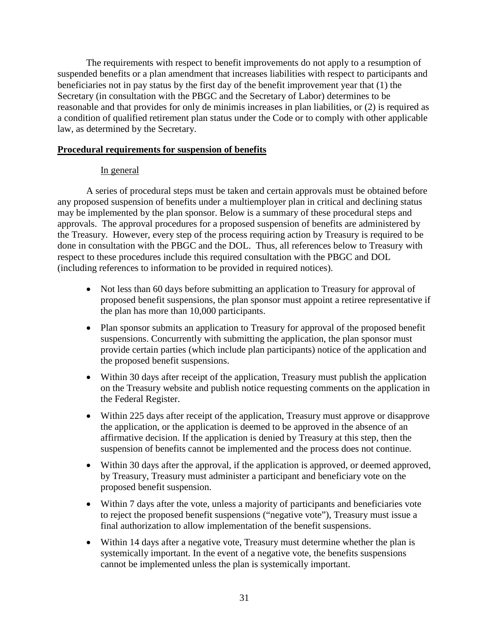The requirements with respect to benefit improvements do not apply to a resumption of suspended benefits or a plan amendment that increases liabilities with respect to participants and beneficiaries not in pay status by the first day of the benefit improvement year that (1) the Secretary (in consultation with the PBGC and the Secretary of Labor) determines to be reasonable and that provides for only de minimis increases in plan liabilities, or (2) is required as a condition of qualified retirement plan status under the Code or to comply with other applicable law, as determined by the Secretary.

### **Procedural requirements for suspension of benefits**

### In general

A series of procedural steps must be taken and certain approvals must be obtained before any proposed suspension of benefits under a multiemployer plan in critical and declining status may be implemented by the plan sponsor. Below is a summary of these procedural steps and approvals. The approval procedures for a proposed suspension of benefits are administered by the Treasury. However, every step of the process requiring action by Treasury is required to be done in consultation with the PBGC and the DOL. Thus, all references below to Treasury with respect to these procedures include this required consultation with the PBGC and DOL (including references to information to be provided in required notices).

- Not less than 60 days before submitting an application to Treasury for approval of proposed benefit suspensions, the plan sponsor must appoint a retiree representative if the plan has more than 10,000 participants.
- Plan sponsor submits an application to Treasury for approval of the proposed benefit suspensions. Concurrently with submitting the application, the plan sponsor must provide certain parties (which include plan participants) notice of the application and the proposed benefit suspensions.
- Within 30 days after receipt of the application, Treasury must publish the application on the Treasury website and publish notice requesting comments on the application in the Federal Register.
- Within 225 days after receipt of the application, Treasury must approve or disapprove the application, or the application is deemed to be approved in the absence of an affirmative decision. If the application is denied by Treasury at this step, then the suspension of benefits cannot be implemented and the process does not continue.
- Within 30 days after the approval, if the application is approved, or deemed approved, by Treasury, Treasury must administer a participant and beneficiary vote on the proposed benefit suspension.
- Within 7 days after the vote, unless a majority of participants and beneficiaries vote to reject the proposed benefit suspensions ("negative vote"), Treasury must issue a final authorization to allow implementation of the benefit suspensions.
- Within 14 days after a negative vote, Treasury must determine whether the plan is systemically important. In the event of a negative vote, the benefits suspensions cannot be implemented unless the plan is systemically important.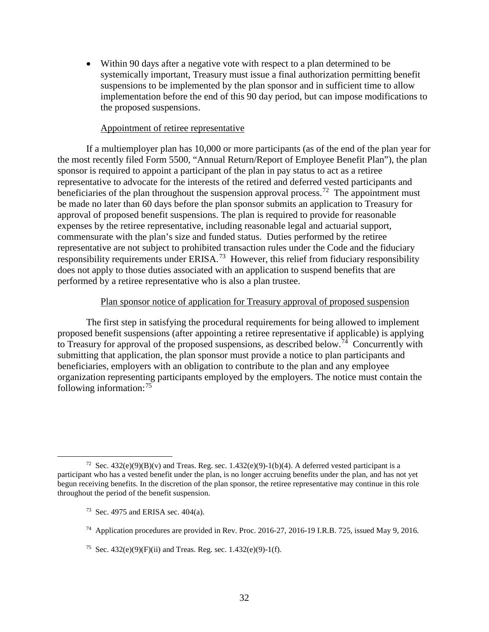• Within 90 days after a negative vote with respect to a plan determined to be systemically important, Treasury must issue a final authorization permitting benefit suspensions to be implemented by the plan sponsor and in sufficient time to allow implementation before the end of this 90 day period, but can impose modifications to the proposed suspensions.

#### Appointment of retiree representative

If a multiemployer plan has 10,000 or more participants (as of the end of the plan year for the most recently filed Form 5500, "Annual Return/Report of Employee Benefit Plan"), the plan sponsor is required to appoint a participant of the plan in pay status to act as a retiree representative to advocate for the interests of the retired and deferred vested participants and beneficiaries of the plan throughout the suspension approval process.<sup>[72](#page-33-0)</sup> The appointment must be made no later than 60 days before the plan sponsor submits an application to Treasury for approval of proposed benefit suspensions. The plan is required to provide for reasonable expenses by the retiree representative, including reasonable legal and actuarial support, commensurate with the plan's size and funded status. Duties performed by the retiree representative are not subject to prohibited transaction rules under the Code and the fiduciary responsibility requirements under  $ERISA$ <sup>73</sup> However, this relief from fiduciary responsibility does not apply to those duties associated with an application to suspend benefits that are performed by a retiree representative who is also a plan trustee.

#### Plan sponsor notice of application for Treasury approval of proposed suspension

The first step in satisfying the procedural requirements for being allowed to implement proposed benefit suspensions (after appointing a retiree representative if applicable) is applying to Treasury for approval of the proposed suspensions, as described below.<sup>74</sup> Concurrently with submitting that application, the plan sponsor must provide a notice to plan participants and beneficiaries, employers with an obligation to contribute to the plan and any employee organization representing participants employed by the employers. The notice must contain the following information:[75](#page-33-3)

<span id="page-33-1"></span><span id="page-33-0"></span><sup>&</sup>lt;sup>72</sup> Sec. 432(e)(9)(B)(v) and Treas. Reg. sec. 1.432(e)(9)-1(b)(4). A deferred vested participant is a participant who has a vested benefit under the plan, is no longer accruing benefits under the plan, and has not yet begun receiving benefits. In the discretion of the plan sponsor, the retiree representative may continue in this role throughout the period of the benefit suspension.

<sup>&</sup>lt;sup>73</sup> Sec. 4975 and ERISA sec.  $404(a)$ .

<span id="page-33-2"></span><sup>74</sup> Application procedures are provided in Rev. Proc. 2016-27, 2016-19 I.R.B. 725, issued May 9, 2016.

<span id="page-33-3"></span><sup>&</sup>lt;sup>75</sup> Sec. 432(e)(9)(F)(ii) and Treas. Reg. sec. 1.432(e)(9)-1(f).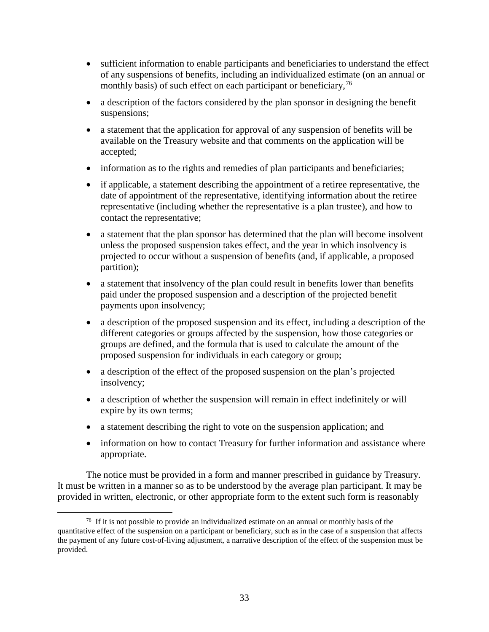- sufficient information to enable participants and beneficiaries to understand the effect of any suspensions of benefits, including an individualized estimate (on an annual or monthly basis) of such effect on each participant or beneficiary,  $^{76}$  $^{76}$  $^{76}$
- a description of the factors considered by the plan sponsor in designing the benefit suspensions;
- a statement that the application for approval of any suspension of benefits will be available on the Treasury website and that comments on the application will be accepted;
- information as to the rights and remedies of plan participants and beneficiaries;
- if applicable, a statement describing the appointment of a retiree representative, the date of appointment of the representative, identifying information about the retiree representative (including whether the representative is a plan trustee), and how to contact the representative;
- a statement that the plan sponsor has determined that the plan will become insolvent unless the proposed suspension takes effect, and the year in which insolvency is projected to occur without a suspension of benefits (and, if applicable, a proposed partition);
- a statement that insolvency of the plan could result in benefits lower than benefits paid under the proposed suspension and a description of the projected benefit payments upon insolvency;
- a description of the proposed suspension and its effect, including a description of the different categories or groups affected by the suspension, how those categories or groups are defined, and the formula that is used to calculate the amount of the proposed suspension for individuals in each category or group;
- a description of the effect of the proposed suspension on the plan's projected insolvency;
- a description of whether the suspension will remain in effect indefinitely or will expire by its own terms;
- a statement describing the right to vote on the suspension application; and
- information on how to contact Treasury for further information and assistance where appropriate.

The notice must be provided in a form and manner prescribed in guidance by Treasury. It must be written in a manner so as to be understood by the average plan participant. It may be provided in written, electronic, or other appropriate form to the extent such form is reasonably

<span id="page-34-0"></span> $76$  If it is not possible to provide an individualized estimate on an annual or monthly basis of the quantitative effect of the suspension on a participant or beneficiary, such as in the case of a suspension that affects the payment of any future cost-of-living adjustment, a narrative description of the effect of the suspension must be provided.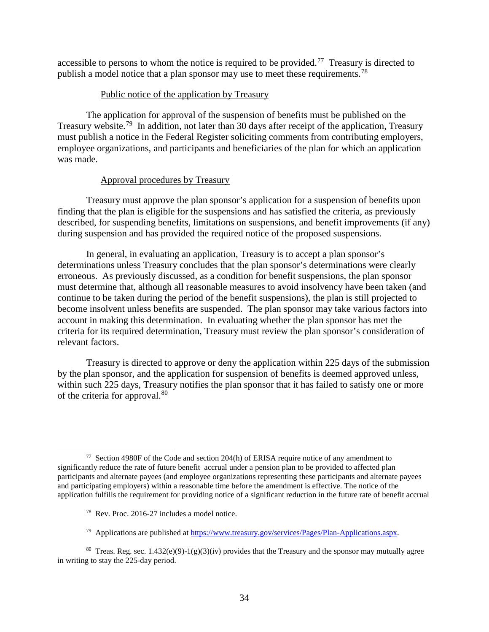accessible to persons to whom the notice is required to be provided.<sup>77</sup> Treasury is directed to publish a model notice that a plan sponsor may use to meet these requirements.<sup>[78](#page-35-1)</sup>

### Public notice of the application by Treasury

The application for approval of the suspension of benefits must be published on the Treasury website.[79](#page-35-2) In addition, not later than 30 days after receipt of the application, Treasury must publish a notice in the Federal Register soliciting comments from contributing employers, employee organizations, and participants and beneficiaries of the plan for which an application was made.

### Approval procedures by Treasury

Treasury must approve the plan sponsor's application for a suspension of benefits upon finding that the plan is eligible for the suspensions and has satisfied the criteria, as previously described, for suspending benefits, limitations on suspensions, and benefit improvements (if any) during suspension and has provided the required notice of the proposed suspensions.

In general, in evaluating an application, Treasury is to accept a plan sponsor's determinations unless Treasury concludes that the plan sponsor's determinations were clearly erroneous. As previously discussed, as a condition for benefit suspensions, the plan sponsor must determine that, although all reasonable measures to avoid insolvency have been taken (and continue to be taken during the period of the benefit suspensions), the plan is still projected to become insolvent unless benefits are suspended. The plan sponsor may take various factors into account in making this determination. In evaluating whether the plan sponsor has met the criteria for its required determination, Treasury must review the plan sponsor's consideration of relevant factors.

Treasury is directed to approve or deny the application within 225 days of the submission by the plan sponsor, and the application for suspension of benefits is deemed approved unless, within such 225 days, Treasury notifies the plan sponsor that it has failed to satisfy one or more of the criteria for approval.<sup>[80](#page-35-3)</sup>

78 Rev. Proc. 2016-27 includes a model notice.

<span id="page-35-0"></span> <sup>77</sup> Section 4980F of the Code and section 204(h) of ERISA require notice of any amendment to significantly reduce the rate of future benefit accrual under a pension plan to be provided to affected plan participants and alternate payees (and employee organizations representing these participants and alternate payees and participating employers) within a reasonable time before the amendment is effective. The notice of the application fulfills the requirement for providing notice of a significant reduction in the future rate of benefit accrual

<sup>79</sup> Applications are published at [https://www.treasury.gov/services/Pages/Plan-Applications.aspx.](https://www.treasury.gov/services/Pages/Plan-Applications.aspx)

<span id="page-35-3"></span><span id="page-35-2"></span><span id="page-35-1"></span><sup>&</sup>lt;sup>80</sup> Treas. Reg. sec. 1.432(e)(9)-1(g)(3)(iv) provides that the Treasury and the sponsor may mutually agree in writing to stay the 225-day period.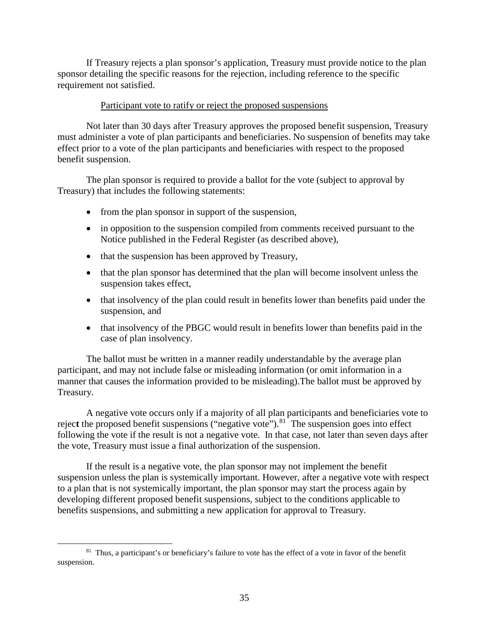If Treasury rejects a plan sponsor's application, Treasury must provide notice to the plan sponsor detailing the specific reasons for the rejection, including reference to the specific requirement not satisfied.

### Participant vote to ratify or reject the proposed suspensions

Not later than 30 days after Treasury approves the proposed benefit suspension, Treasury must administer a vote of plan participants and beneficiaries. No suspension of benefits may take effect prior to a vote of the plan participants and beneficiaries with respect to the proposed benefit suspension.

The plan sponsor is required to provide a ballot for the vote (subject to approval by Treasury) that includes the following statements:

- from the plan sponsor in support of the suspension,
- in opposition to the suspension compiled from comments received pursuant to the Notice published in the Federal Register (as described above),
- that the suspension has been approved by Treasury,
- that the plan sponsor has determined that the plan will become insolvent unless the suspension takes effect,
- that insolvency of the plan could result in benefits lower than benefits paid under the suspension, and
- that insolvency of the PBGC would result in benefits lower than benefits paid in the case of plan insolvency.

The ballot must be written in a manner readily understandable by the average plan participant, and may not include false or misleading information (or omit information in a manner that causes the information provided to be misleading).The ballot must be approved by Treasury.

A negative vote occurs only if a majority of all plan participants and beneficiaries vote to reject the proposed benefit suspensions ("negative vote").<sup>[81](#page-36-0)</sup> The suspension goes into effect following the vote if the result is not a negative vote. In that case, not later than seven days after the vote, Treasury must issue a final authorization of the suspension.

If the result is a negative vote, the plan sponsor may not implement the benefit suspension unless the plan is systemically important. However, after a negative vote with respect to a plan that is not systemically important, the plan sponsor may start the process again by developing different proposed benefit suspensions, subject to the conditions applicable to benefits suspensions, and submitting a new application for approval to Treasury.

<span id="page-36-0"></span><sup>&</sup>lt;sup>81</sup> Thus, a participant's or beneficiary's failure to vote has the effect of a vote in favor of the benefit suspension.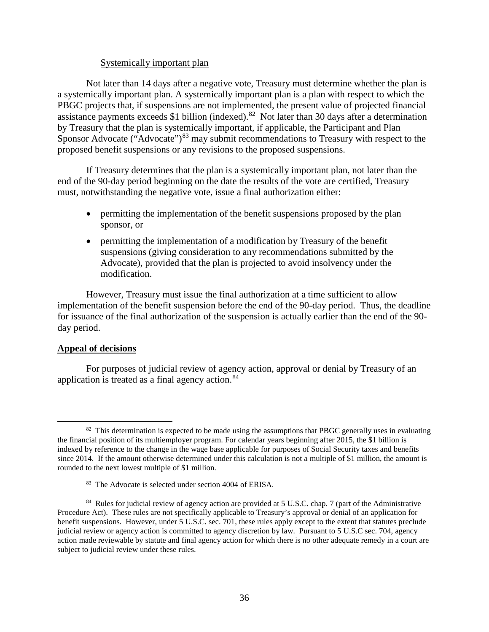### Systemically important plan

Not later than 14 days after a negative vote, Treasury must determine whether the plan is a systemically important plan. A systemically important plan is a plan with respect to which the PBGC projects that, if suspensions are not implemented, the present value of projected financial assistance payments exceeds \$1 billion (indexed).<sup>82</sup> Not later than 30 days after a determination by Treasury that the plan is systemically important, if applicable, the Participant and Plan Sponsor Advocate ("Advocate")<sup>[83](#page-37-1)</sup> may submit recommendations to Treasury with respect to the proposed benefit suspensions or any revisions to the proposed suspensions.

If Treasury determines that the plan is a systemically important plan, not later than the end of the 90-day period beginning on the date the results of the vote are certified, Treasury must, notwithstanding the negative vote, issue a final authorization either:

- permitting the implementation of the benefit suspensions proposed by the plan sponsor, or
- permitting the implementation of a modification by Treasury of the benefit suspensions (giving consideration to any recommendations submitted by the Advocate), provided that the plan is projected to avoid insolvency under the modification.

However, Treasury must issue the final authorization at a time sufficient to allow implementation of the benefit suspension before the end of the 90-day period. Thus, the deadline for issuance of the final authorization of the suspension is actually earlier than the end of the 90 day period.

### **Appeal of decisions**

For purposes of judicial review of agency action, approval or denial by Treasury of an application is treated as a final agency action. $84$ 

<span id="page-37-0"></span> $82$  This determination is expected to be made using the assumptions that PBGC generally uses in evaluating the financial position of its multiemployer program. For calendar years beginning after 2015, the \$1 billion is indexed by reference to the change in the wage base applicable for purposes of Social Security taxes and benefits since 2014. If the amount otherwise determined under this calculation is not a multiple of \$1 million, the amount is rounded to the next lowest multiple of \$1 million.

<sup>83</sup> The Advocate is selected under section 4004 of ERISA.

<span id="page-37-2"></span><span id="page-37-1"></span><sup>&</sup>lt;sup>84</sup> Rules for judicial review of agency action are provided at 5 U.S.C. chap. 7 (part of the Administrative Procedure Act). These rules are not specifically applicable to Treasury's approval or denial of an application for benefit suspensions. However, under 5 U.S.C. sec. 701, these rules apply except to the extent that statutes preclude judicial review or agency action is committed to agency discretion by law. Pursuant to 5 U.S.C sec. 704, agency action made reviewable by statute and final agency action for which there is no other adequate remedy in a court are subject to judicial review under these rules.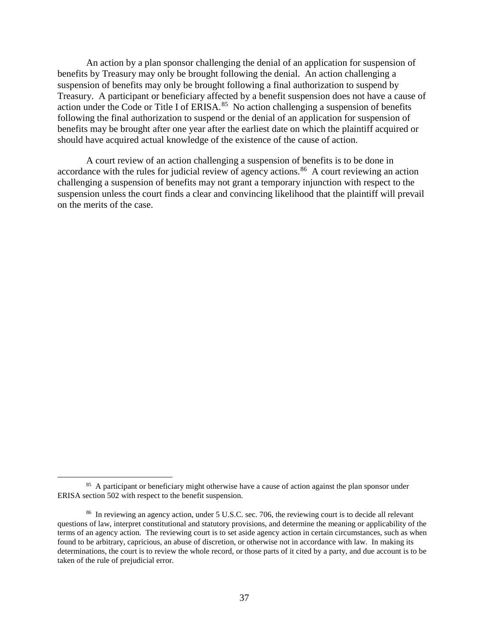An action by a plan sponsor challenging the denial of an application for suspension of benefits by Treasury may only be brought following the denial. An action challenging a suspension of benefits may only be brought following a final authorization to suspend by Treasury. A participant or beneficiary affected by a benefit suspension does not have a cause of action under the Code or Title I of ERISA. $85$  No action challenging a suspension of benefits following the final authorization to suspend or the denial of an application for suspension of benefits may be brought after one year after the earliest date on which the plaintiff acquired or should have acquired actual knowledge of the existence of the cause of action.

A court review of an action challenging a suspension of benefits is to be done in accordance with the rules for judicial review of agency actions.<sup>[86](#page-38-1)</sup> A court reviewing an action challenging a suspension of benefits may not grant a temporary injunction with respect to the suspension unless the court finds a clear and convincing likelihood that the plaintiff will prevail on the merits of the case.

<span id="page-38-0"></span><sup>&</sup>lt;sup>85</sup> A participant or beneficiary might otherwise have a cause of action against the plan sponsor under ERISA section 502 with respect to the benefit suspension.

<span id="page-38-1"></span><sup>&</sup>lt;sup>86</sup> In reviewing an agency action, under 5 U.S.C. sec. 706, the reviewing court is to decide all relevant questions of law, interpret constitutional and statutory provisions, and determine the meaning or applicability of the terms of an agency action. The reviewing court is to set aside agency action in certain circumstances, such as when found to be arbitrary, capricious, an abuse of discretion, or otherwise not in accordance with law. In making its determinations, the court is to review the whole record, or those parts of it cited by a party, and due account is to be taken of the rule of prejudicial error.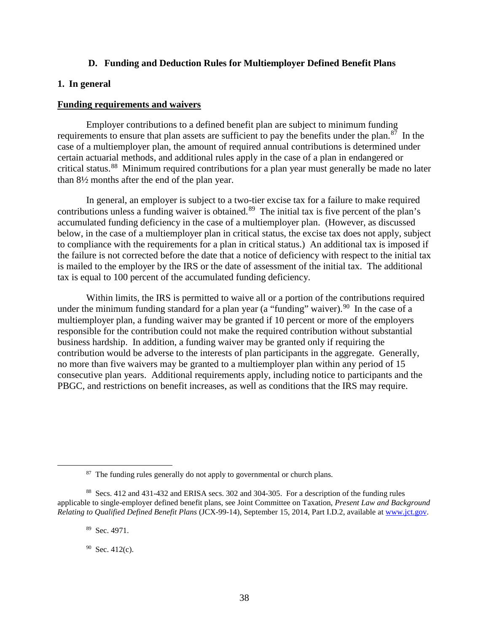### **D. Funding and Deduction Rules for Multiemployer Defined Benefit Plans**

### <span id="page-39-1"></span><span id="page-39-0"></span>**1. In general**

#### **Funding requirements and waivers**

Employer contributions to a defined benefit plan are subject to minimum funding requirements to ensure that plan assets are sufficient to pay the benefits under the plan. $87$  In the case of a multiemployer plan, the amount of required annual contributions is determined under certain actuarial methods, and additional rules apply in the case of a plan in endangered or critical status.<sup>[88](#page-39-3)</sup> Minimum required contributions for a plan year must generally be made no later than 8½ months after the end of the plan year.

In general, an employer is subject to a two-tier excise tax for a failure to make required contributions unless a funding waiver is obtained.<sup>89</sup> The initial tax is five percent of the plan's accumulated funding deficiency in the case of a multiemployer plan. (However, as discussed below, in the case of a multiemployer plan in critical status, the excise tax does not apply, subject to compliance with the requirements for a plan in critical status.) An additional tax is imposed if the failure is not corrected before the date that a notice of deficiency with respect to the initial tax is mailed to the employer by the IRS or the date of assessment of the initial tax. The additional tax is equal to 100 percent of the accumulated funding deficiency.

Within limits, the IRS is permitted to waive all or a portion of the contributions required under the minimum funding standard for a plan year (a "funding" waiver).<sup>[90](#page-39-5)</sup> In the case of a multiemployer plan, a funding waiver may be granted if 10 percent or more of the employers responsible for the contribution could not make the required contribution without substantial business hardship. In addition, a funding waiver may be granted only if requiring the contribution would be adverse to the interests of plan participants in the aggregate. Generally, no more than five waivers may be granted to a multiemployer plan within any period of 15 consecutive plan years. Additional requirements apply, including notice to participants and the PBGC, and restrictions on benefit increases, as well as conditions that the IRS may require.

<sup>&</sup>lt;sup>87</sup> The funding rules generally do not apply to governmental or church plans.

<span id="page-39-5"></span><span id="page-39-4"></span><span id="page-39-3"></span><span id="page-39-2"></span><sup>88</sup> Secs. 412 and 431-432 and ERISA secs. 302 and 304-305. For a description of the funding rules applicable to single-employer defined benefit plans, see Joint Committee on Taxation, *Present Law and Background Relating to Qualified Defined Benefit Plans* (JCX-99-14), September 15, 2014, Part I.D.2, available at [www.jct.gov.](http://www.jct.gov/)

<sup>89</sup> Sec. 4971.

 $90$  Sec. 412(c).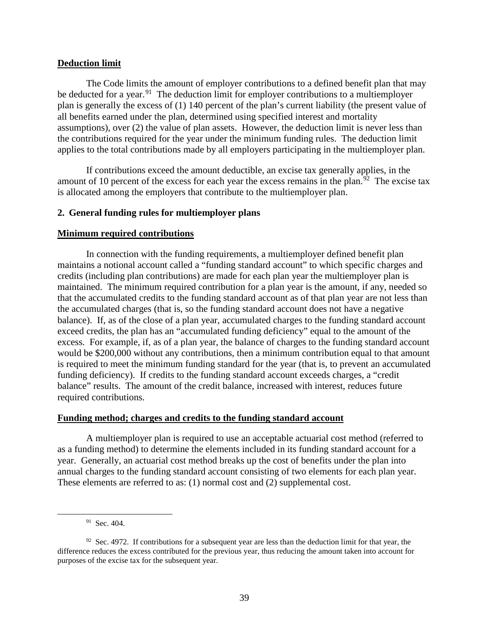### **Deduction limit**

The Code limits the amount of employer contributions to a defined benefit plan that may be deducted for a year.<sup>[91](#page-40-1)</sup> The deduction limit for employer contributions to a multiemployer plan is generally the excess of (1) 140 percent of the plan's current liability (the present value of all benefits earned under the plan, determined using specified interest and mortality assumptions), over (2) the value of plan assets. However, the deduction limit is never less than the contributions required for the year under the minimum funding rules. The deduction limit applies to the total contributions made by all employers participating in the multiemployer plan.

If contributions exceed the amount deductible, an excise tax generally applies, in the amount of 10 percent of the excess for each year the excess remains in the plan.<sup>[92](#page-40-2)</sup> The excise tax is allocated among the employers that contribute to the multiemployer plan.

### <span id="page-40-0"></span>**2. General funding rules for multiemployer plans**

### **Minimum required contributions**

In connection with the funding requirements, a multiemployer defined benefit plan maintains a notional account called a "funding standard account" to which specific charges and credits (including plan contributions) are made for each plan year the multiemployer plan is maintained. The minimum required contribution for a plan year is the amount, if any, needed so that the accumulated credits to the funding standard account as of that plan year are not less than the accumulated charges (that is, so the funding standard account does not have a negative balance). If, as of the close of a plan year, accumulated charges to the funding standard account exceed credits, the plan has an "accumulated funding deficiency" equal to the amount of the excess. For example, if, as of a plan year, the balance of charges to the funding standard account would be \$200,000 without any contributions, then a minimum contribution equal to that amount is required to meet the minimum funding standard for the year (that is, to prevent an accumulated funding deficiency). If credits to the funding standard account exceeds charges, a "credit balance" results. The amount of the credit balance, increased with interest, reduces future required contributions.

### **Funding method; charges and credits to the funding standard account**

A multiemployer plan is required to use an acceptable actuarial cost method (referred to as a funding method) to determine the elements included in its funding standard account for a year. Generally, an actuarial cost method breaks up the cost of benefits under the plan into annual charges to the funding standard account consisting of two elements for each plan year. These elements are referred to as: (1) normal cost and (2) supplemental cost.

<sup>&</sup>lt;sup>91</sup> Sec. 404.

<span id="page-40-2"></span><span id="page-40-1"></span> $92$  Sec. 4972. If contributions for a subsequent year are less than the deduction limit for that year, the difference reduces the excess contributed for the previous year, thus reducing the amount taken into account for purposes of the excise tax for the subsequent year.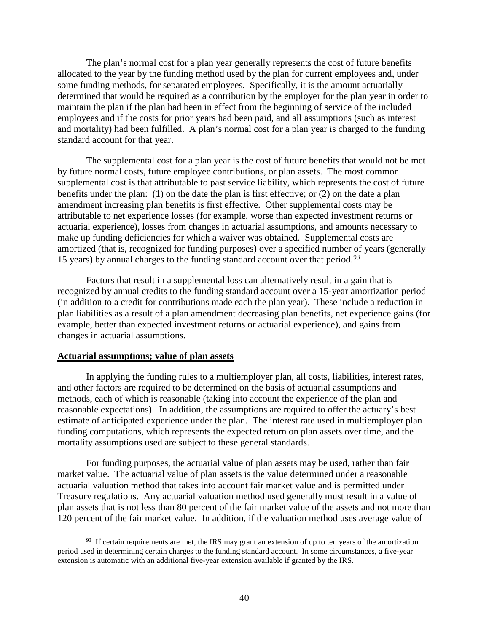The plan's normal cost for a plan year generally represents the cost of future benefits allocated to the year by the funding method used by the plan for current employees and, under some funding methods, for separated employees. Specifically, it is the amount actuarially determined that would be required as a contribution by the employer for the plan year in order to maintain the plan if the plan had been in effect from the beginning of service of the included employees and if the costs for prior years had been paid, and all assumptions (such as interest and mortality) had been fulfilled. A plan's normal cost for a plan year is charged to the funding standard account for that year.

The supplemental cost for a plan year is the cost of future benefits that would not be met by future normal costs, future employee contributions, or plan assets. The most common supplemental cost is that attributable to past service liability, which represents the cost of future benefits under the plan: (1) on the date the plan is first effective; or (2) on the date a plan amendment increasing plan benefits is first effective. Other supplemental costs may be attributable to net experience losses (for example, worse than expected investment returns or actuarial experience), losses from changes in actuarial assumptions, and amounts necessary to make up funding deficiencies for which a waiver was obtained. Supplemental costs are amortized (that is, recognized for funding purposes) over a specified number of years (generally 15 years) by annual charges to the funding standard account over that period.<sup>93</sup>

Factors that result in a supplemental loss can alternatively result in a gain that is recognized by annual credits to the funding standard account over a 15-year amortization period (in addition to a credit for contributions made each the plan year). These include a reduction in plan liabilities as a result of a plan amendment decreasing plan benefits, net experience gains (for example, better than expected investment returns or actuarial experience), and gains from changes in actuarial assumptions.

### **Actuarial assumptions; value of plan assets**

In applying the funding rules to a multiemployer plan, all costs, liabilities, interest rates, and other factors are required to be determined on the basis of actuarial assumptions and methods, each of which is reasonable (taking into account the experience of the plan and reasonable expectations). In addition, the assumptions are required to offer the actuary's best estimate of anticipated experience under the plan. The interest rate used in multiemployer plan funding computations, which represents the expected return on plan assets over time, and the mortality assumptions used are subject to these general standards.

For funding purposes, the actuarial value of plan assets may be used, rather than fair market value. The actuarial value of plan assets is the value determined under a reasonable actuarial valuation method that takes into account fair market value and is permitted under Treasury regulations. Any actuarial valuation method used generally must result in a value of plan assets that is not less than 80 percent of the fair market value of the assets and not more than 120 percent of the fair market value. In addition, if the valuation method uses average value of

<span id="page-41-0"></span><sup>&</sup>lt;sup>93</sup> If certain requirements are met, the IRS may grant an extension of up to ten years of the amortization period used in determining certain charges to the funding standard account. In some circumstances, a five-year extension is automatic with an additional five-year extension available if granted by the IRS.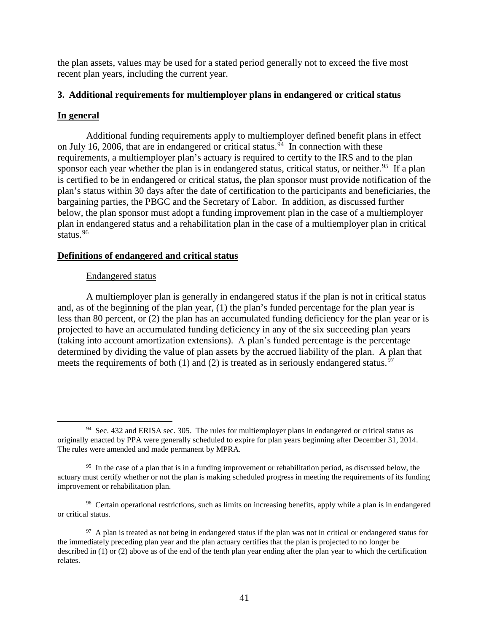the plan assets, values may be used for a stated period generally not to exceed the five most recent plan years, including the current year.

### <span id="page-42-0"></span>**3. Additional requirements for multiemployer plans in endangered or critical status**

### **In general**

Additional funding requirements apply to multiemployer defined benefit plans in effect on July 16, 2006, that are in endangered or critical status.<sup>94</sup> In connection with these requirements, a multiemployer plan's actuary is required to certify to the IRS and to the plan sponsor each year whether the plan is in endangered status, critical status, or neither.<sup>95</sup> If a plan is certified to be in endangered or critical status**,** the plan sponsor must provide notification of the plan's status within 30 days after the date of certification to the participants and beneficiaries, the bargaining parties, the PBGC and the Secretary of Labor. In addition, as discussed further below, the plan sponsor must adopt a funding improvement plan in the case of a multiemployer plan in endangered status and a rehabilitation plan in the case of a multiemployer plan in critical status.[96](#page-42-3)

### **Definitions of endangered and critical status**

### Endangered status

A multiemployer plan is generally in endangered status if the plan is not in critical status and, as of the beginning of the plan year, (1) the plan's funded percentage for the plan year is less than 80 percent, or (2) the plan has an accumulated funding deficiency for the plan year or is projected to have an accumulated funding deficiency in any of the six succeeding plan years (taking into account amortization extensions). A plan's funded percentage is the percentage determined by dividing the value of plan assets by the accrued liability of the plan. A plan that meets the requirements of both (1) and (2) is treated as in seriously endangered status.<sup>97</sup>

<span id="page-42-1"></span><sup>&</sup>lt;sup>94</sup> Sec. 432 and ERISA sec. 305. The rules for multiemployer plans in endangered or critical status as originally enacted by PPA were generally scheduled to expire for plan years beginning after December 31, 2014. The rules were amended and made permanent by MPRA.

<span id="page-42-2"></span><sup>&</sup>lt;sup>95</sup> In the case of a plan that is in a funding improvement or rehabilitation period, as discussed below, the actuary must certify whether or not the plan is making scheduled progress in meeting the requirements of its funding improvement or rehabilitation plan.

<span id="page-42-3"></span><sup>&</sup>lt;sup>96</sup> Certain operational restrictions, such as limits on increasing benefits, apply while a plan is in endangered or critical status.

<span id="page-42-4"></span> $97$  A plan is treated as not being in endangered status if the plan was not in critical or endangered status for the immediately preceding plan year and the plan actuary certifies that the plan is projected to no longer be described in (1) or (2) above as of the end of the tenth plan year ending after the plan year to which the certification relates.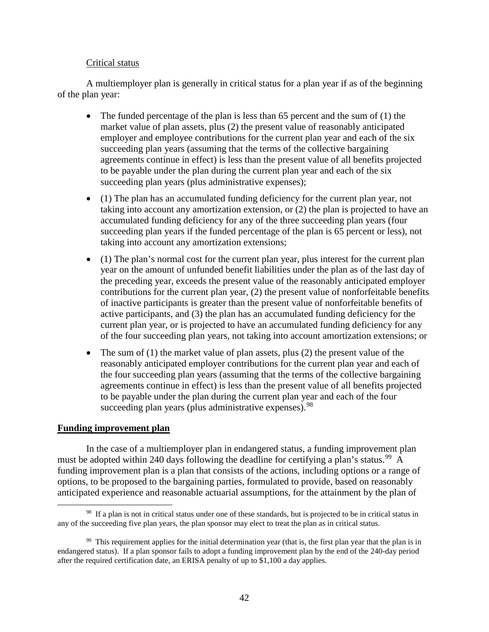### Critical status

A multiemployer plan is generally in critical status for a plan year if as of the beginning of the plan year:

- The funded percentage of the plan is less than 65 percent and the sum of  $(1)$  the market value of plan assets, plus (2) the present value of reasonably anticipated employer and employee contributions for the current plan year and each of the six succeeding plan years (assuming that the terms of the collective bargaining agreements continue in effect) is less than the present value of all benefits projected to be payable under the plan during the current plan year and each of the six succeeding plan years (plus administrative expenses);
- (1) The plan has an accumulated funding deficiency for the current plan year, not taking into account any amortization extension, or (2) the plan is projected to have an accumulated funding deficiency for any of the three succeeding plan years (four succeeding plan years if the funded percentage of the plan is 65 percent or less), not taking into account any amortization extensions;
- (1) The plan's normal cost for the current plan year, plus interest for the current plan year on the amount of unfunded benefit liabilities under the plan as of the last day of the preceding year, exceeds the present value of the reasonably anticipated employer contributions for the current plan year, (2) the present value of nonforfeitable benefits of inactive participants is greater than the present value of nonforfeitable benefits of active participants, and (3) the plan has an accumulated funding deficiency for the current plan year, or is projected to have an accumulated funding deficiency for any of the four succeeding plan years, not taking into account amortization extensions; or
- The sum of  $(1)$  the market value of plan assets, plus  $(2)$  the present value of the reasonably anticipated employer contributions for the current plan year and each of the four succeeding plan years (assuming that the terms of the collective bargaining agreements continue in effect) is less than the present value of all benefits projected to be payable under the plan during the current plan year and each of the four succeeding plan years (plus administrative expenses).  $98$

### **Funding improvement plan**

In the case of a multiemployer plan in endangered status, a funding improvement plan must be adopted within 240 days following the deadline for certifying a plan's status.<sup>99</sup> A funding improvement plan is a plan that consists of the actions, including options or a range of options, to be proposed to the bargaining parties, formulated to provide, based on reasonably anticipated experience and reasonable actuarial assumptions, for the attainment by the plan of

<span id="page-43-0"></span><sup>&</sup>lt;sup>98</sup> If a plan is not in critical status under one of these standards, but is projected to be in critical status in any of the succeeding five plan years, the plan sponsor may elect to treat the plan as in critical status.

<span id="page-43-1"></span><sup>&</sup>lt;sup>99</sup> This requirement applies for the initial determination year (that is, the first plan year that the plan is in endangered status). If a plan sponsor fails to adopt a funding improvement plan by the end of the 240-day period after the required certification date, an ERISA penalty of up to \$1,100 a day applies.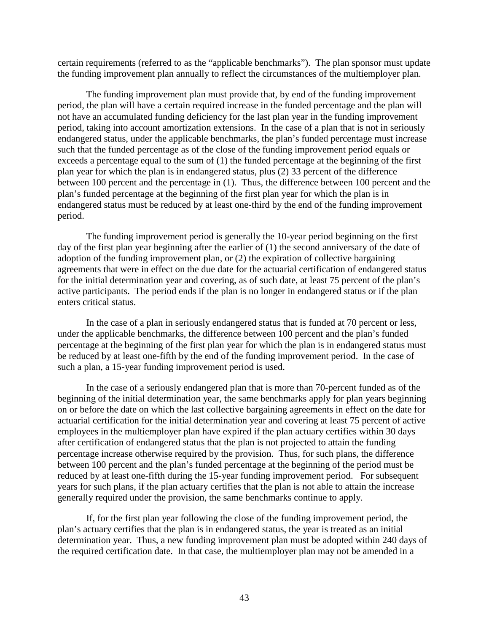certain requirements (referred to as the "applicable benchmarks"). The plan sponsor must update the funding improvement plan annually to reflect the circumstances of the multiemployer plan.

The funding improvement plan must provide that, by end of the funding improvement period, the plan will have a certain required increase in the funded percentage and the plan will not have an accumulated funding deficiency for the last plan year in the funding improvement period, taking into account amortization extensions. In the case of a plan that is not in seriously endangered status, under the applicable benchmarks, the plan's funded percentage must increase such that the funded percentage as of the close of the funding improvement period equals or exceeds a percentage equal to the sum of (1) the funded percentage at the beginning of the first plan year for which the plan is in endangered status, plus (2) 33 percent of the difference between 100 percent and the percentage in (1). Thus, the difference between 100 percent and the plan's funded percentage at the beginning of the first plan year for which the plan is in endangered status must be reduced by at least one-third by the end of the funding improvement period.

The funding improvement period is generally the 10-year period beginning on the first day of the first plan year beginning after the earlier of (1) the second anniversary of the date of adoption of the funding improvement plan, or (2) the expiration of collective bargaining agreements that were in effect on the due date for the actuarial certification of endangered status for the initial determination year and covering, as of such date, at least 75 percent of the plan's active participants. The period ends if the plan is no longer in endangered status or if the plan enters critical status.

In the case of a plan in seriously endangered status that is funded at 70 percent or less, under the applicable benchmarks, the difference between 100 percent and the plan's funded percentage at the beginning of the first plan year for which the plan is in endangered status must be reduced by at least one-fifth by the end of the funding improvement period. In the case of such a plan, a 15-year funding improvement period is used.

In the case of a seriously endangered plan that is more than 70-percent funded as of the beginning of the initial determination year, the same benchmarks apply for plan years beginning on or before the date on which the last collective bargaining agreements in effect on the date for actuarial certification for the initial determination year and covering at least 75 percent of active employees in the multiemployer plan have expired if the plan actuary certifies within 30 days after certification of endangered status that the plan is not projected to attain the funding percentage increase otherwise required by the provision. Thus, for such plans, the difference between 100 percent and the plan's funded percentage at the beginning of the period must be reduced by at least one-fifth during the 15-year funding improvement period. For subsequent years for such plans, if the plan actuary certifies that the plan is not able to attain the increase generally required under the provision, the same benchmarks continue to apply.

If, for the first plan year following the close of the funding improvement period, the plan's actuary certifies that the plan is in endangered status, the year is treated as an initial determination year. Thus, a new funding improvement plan must be adopted within 240 days of the required certification date. In that case, the multiemployer plan may not be amended in a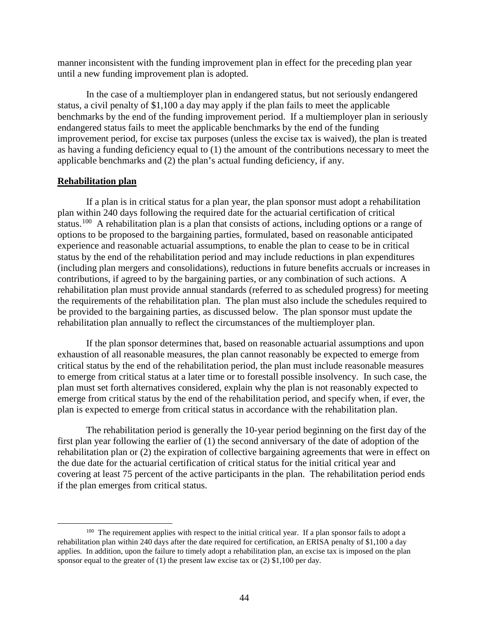manner inconsistent with the funding improvement plan in effect for the preceding plan year until a new funding improvement plan is adopted.

In the case of a multiemployer plan in endangered status, but not seriously endangered status, a civil penalty of \$1,100 a day may apply if the plan fails to meet the applicable benchmarks by the end of the funding improvement period. If a multiemployer plan in seriously endangered status fails to meet the applicable benchmarks by the end of the funding improvement period, for excise tax purposes (unless the excise tax is waived), the plan is treated as having a funding deficiency equal to (1) the amount of the contributions necessary to meet the applicable benchmarks and (2) the plan's actual funding deficiency, if any.

### **Rehabilitation plan**

If a plan is in critical status for a plan year, the plan sponsor must adopt a rehabilitation plan within 240 days following the required date for the actuarial certification of critical status.<sup>[100](#page-45-0)</sup> A rehabilitation plan is a plan that consists of actions, including options or a range of options to be proposed to the bargaining parties, formulated, based on reasonable anticipated experience and reasonable actuarial assumptions, to enable the plan to cease to be in critical status by the end of the rehabilitation period and may include reductions in plan expenditures (including plan mergers and consolidations), reductions in future benefits accruals or increases in contributions, if agreed to by the bargaining parties, or any combination of such actions. A rehabilitation plan must provide annual standards (referred to as scheduled progress) for meeting the requirements of the rehabilitation plan. The plan must also include the schedules required to be provided to the bargaining parties, as discussed below. The plan sponsor must update the rehabilitation plan annually to reflect the circumstances of the multiemployer plan.

If the plan sponsor determines that, based on reasonable actuarial assumptions and upon exhaustion of all reasonable measures, the plan cannot reasonably be expected to emerge from critical status by the end of the rehabilitation period, the plan must include reasonable measures to emerge from critical status at a later time or to forestall possible insolvency. In such case, the plan must set forth alternatives considered, explain why the plan is not reasonably expected to emerge from critical status by the end of the rehabilitation period, and specify when, if ever, the plan is expected to emerge from critical status in accordance with the rehabilitation plan.

The rehabilitation period is generally the 10-year period beginning on the first day of the first plan year following the earlier of (1) the second anniversary of the date of adoption of the rehabilitation plan or (2) the expiration of collective bargaining agreements that were in effect on the due date for the actuarial certification of critical status for the initial critical year and covering at least 75 percent of the active participants in the plan. The rehabilitation period ends if the plan emerges from critical status.

<span id="page-45-0"></span><sup>&</sup>lt;sup>100</sup> The requirement applies with respect to the initial critical year. If a plan sponsor fails to adopt a rehabilitation plan within 240 days after the date required for certification, an ERISA penalty of \$1,100 a day applies. In addition, upon the failure to timely adopt a rehabilitation plan, an excise tax is imposed on the plan sponsor equal to the greater of (1) the present law excise tax or (2) \$1,100 per day.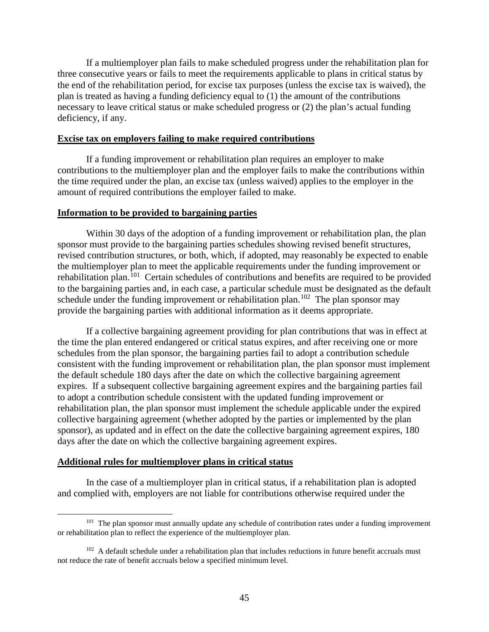If a multiemployer plan fails to make scheduled progress under the rehabilitation plan for three consecutive years or fails to meet the requirements applicable to plans in critical status by the end of the rehabilitation period, for excise tax purposes (unless the excise tax is waived), the plan is treated as having a funding deficiency equal to (1) the amount of the contributions necessary to leave critical status or make scheduled progress or (2) the plan's actual funding deficiency, if any.

#### **Excise tax on employers failing to make required contributions**

If a funding improvement or rehabilitation plan requires an employer to make contributions to the multiemployer plan and the employer fails to make the contributions within the time required under the plan, an excise tax (unless waived) applies to the employer in the amount of required contributions the employer failed to make.

#### **Information to be provided to bargaining parties**

Within 30 days of the adoption of a funding improvement or rehabilitation plan, the plan sponsor must provide to the bargaining parties schedules showing revised benefit structures, revised contribution structures, or both, which, if adopted, may reasonably be expected to enable the multiemployer plan to meet the applicable requirements under the funding improvement or rehabilitation plan.<sup>[101](#page-46-0)</sup> Certain schedules of contributions and benefits are required to be provided to the bargaining parties and, in each case, a particular schedule must be designated as the default schedule under the funding improvement or rehabilitation plan.<sup>102</sup> The plan sponsor may provide the bargaining parties with additional information as it deems appropriate.

If a collective bargaining agreement providing for plan contributions that was in effect at the time the plan entered endangered or critical status expires, and after receiving one or more schedules from the plan sponsor, the bargaining parties fail to adopt a contribution schedule consistent with the funding improvement or rehabilitation plan, the plan sponsor must implement the default schedule 180 days after the date on which the collective bargaining agreement expires. If a subsequent collective bargaining agreement expires and the bargaining parties fail to adopt a contribution schedule consistent with the updated funding improvement or rehabilitation plan, the plan sponsor must implement the schedule applicable under the expired collective bargaining agreement (whether adopted by the parties or implemented by the plan sponsor), as updated and in effect on the date the collective bargaining agreement expires, 180 days after the date on which the collective bargaining agreement expires.

#### **Additional rules for multiemployer plans in critical status**

In the case of a multiemployer plan in critical status, if a rehabilitation plan is adopted and complied with, employers are not liable for contributions otherwise required under the

<span id="page-46-0"></span><sup>&</sup>lt;sup>101</sup> The plan sponsor must annually update any schedule of contribution rates under a funding improvement or rehabilitation plan to reflect the experience of the multiemployer plan.

<span id="page-46-1"></span> $102$  A default schedule under a rehabilitation plan that includes reductions in future benefit accruals must not reduce the rate of benefit accruals below a specified minimum level.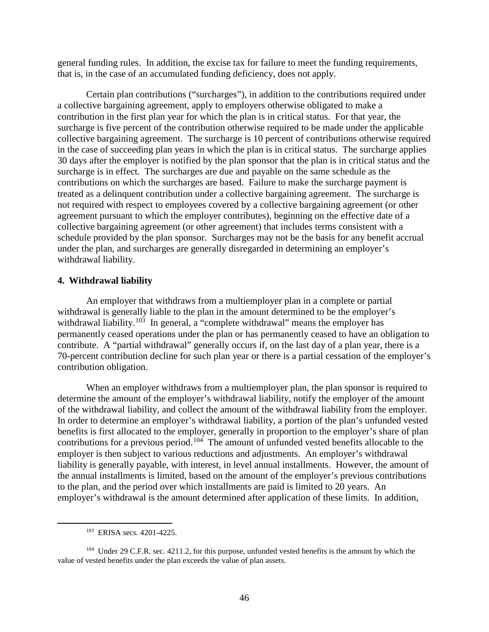general funding rules. In addition, the excise tax for failure to meet the funding requirements, that is, in the case of an accumulated funding deficiency, does not apply.

Certain plan contributions ("surcharges"), in addition to the contributions required under a collective bargaining agreement, apply to employers otherwise obligated to make a contribution in the first plan year for which the plan is in critical status. For that year, the surcharge is five percent of the contribution otherwise required to be made under the applicable collective bargaining agreement. The surcharge is 10 percent of contributions otherwise required in the case of succeeding plan years in which the plan is in critical status. The surcharge applies 30 days after the employer is notified by the plan sponsor that the plan is in critical status and the surcharge is in effect. The surcharges are due and payable on the same schedule as the contributions on which the surcharges are based. Failure to make the surcharge payment is treated as a delinquent contribution under a collective bargaining agreement. The surcharge is not required with respect to employees covered by a collective bargaining agreement (or other agreement pursuant to which the employer contributes), beginning on the effective date of a collective bargaining agreement (or other agreement) that includes terms consistent with a schedule provided by the plan sponsor. Surcharges may not be the basis for any benefit accrual under the plan, and surcharges are generally disregarded in determining an employer's withdrawal liability.

#### <span id="page-47-0"></span>**4. Withdrawal liability**

An employer that withdraws from a multiemployer plan in a complete or partial withdrawal is generally liable to the plan in the amount determined to be the employer's withdrawal liability.<sup>[103](#page-47-1)</sup> In general, a "complete withdrawal" means the employer has permanently ceased operations under the plan or has permanently ceased to have an obligation to contribute. A "partial withdrawal" generally occurs if, on the last day of a plan year, there is a 70-percent contribution decline for such plan year or there is a partial cessation of the employer's contribution obligation.

When an employer withdraws from a multiemployer plan, the plan sponsor is required to determine the amount of the employer's withdrawal liability, notify the employer of the amount of the withdrawal liability, and collect the amount of the withdrawal liability from the employer. In order to determine an employer's withdrawal liability, a portion of the plan's unfunded vested benefits is first allocated to the employer, generally in proportion to the employer's share of plan contributions for a previous period.[104](#page-47-2) The amount of unfunded vested benefits allocable to the employer is then subject to various reductions and adjustments. An employer's withdrawal liability is generally payable, with interest, in level annual installments. However, the amount of the annual installments is limited, based on the amount of the employer's previous contributions to the plan, and the period over which installments are paid is limited to 20 years. An employer's withdrawal is the amount determined after application of these limits. In addition,

 <sup>103</sup> ERISA secs. 4201-4225.

<span id="page-47-2"></span><span id="page-47-1"></span><sup>&</sup>lt;sup>104</sup> Under 29 C.F.R. sec. 4211.2, for this purpose, unfunded vested benefits is the amount by which the value of vested benefits under the plan exceeds the value of plan assets.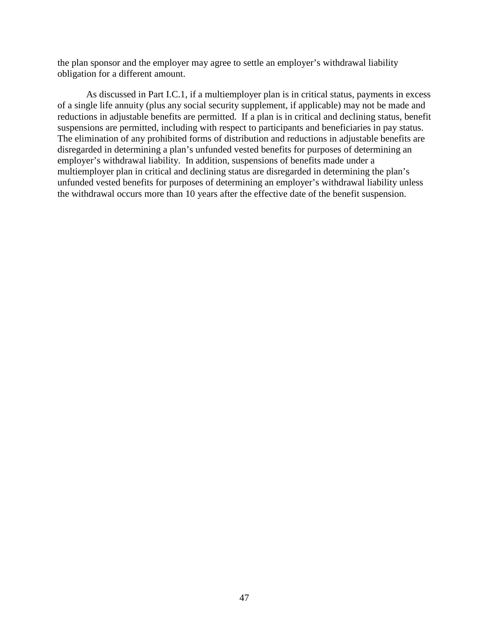the plan sponsor and the employer may agree to settle an employer's withdrawal liability obligation for a different amount.

As discussed in Part I.C.1, if a multiemployer plan is in critical status, payments in excess of a single life annuity (plus any social security supplement, if applicable) may not be made and reductions in adjustable benefits are permitted. If a plan is in critical and declining status, benefit suspensions are permitted, including with respect to participants and beneficiaries in pay status. The elimination of any prohibited forms of distribution and reductions in adjustable benefits are disregarded in determining a plan's unfunded vested benefits for purposes of determining an employer's withdrawal liability. In addition, suspensions of benefits made under a multiemployer plan in critical and declining status are disregarded in determining the plan's unfunded vested benefits for purposes of determining an employer's withdrawal liability unless the withdrawal occurs more than 10 years after the effective date of the benefit suspension.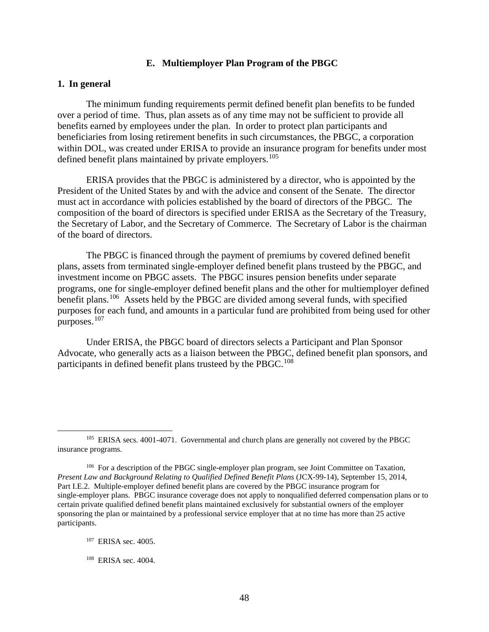### **E. Multiemployer Plan Program of the PBGC**

#### <span id="page-49-1"></span><span id="page-49-0"></span>**1. In general**

The minimum funding requirements permit defined benefit plan benefits to be funded over a period of time. Thus, plan assets as of any time may not be sufficient to provide all benefits earned by employees under the plan. In order to protect plan participants and beneficiaries from losing retirement benefits in such circumstances, the PBGC, a corporation within DOL, was created under ERISA to provide an insurance program for benefits under most defined benefit plans maintained by private employers.<sup>[105](#page-49-2)</sup>

ERISA provides that the PBGC is administered by a director, who is appointed by the President of the United States by and with the advice and consent of the Senate. The director must act in accordance with policies established by the board of directors of the PBGC. The composition of the board of directors is specified under ERISA as the Secretary of the Treasury, the Secretary of Labor, and the Secretary of Commerce. The Secretary of Labor is the chairman of the board of directors.

The PBGC is financed through the payment of premiums by covered defined benefit plans, assets from terminated single-employer defined benefit plans trusteed by the PBGC, and investment income on PBGC assets. The PBGC insures pension benefits under separate programs, one for single-employer defined benefit plans and the other for multiemployer defined benefit plans.<sup>[106](#page-49-3)</sup> Assets held by the PBGC are divided among several funds, with specified purposes for each fund, and amounts in a particular fund are prohibited from being used for other purposes.[107](#page-49-4)

Under ERISA, the PBGC board of directors selects a Participant and Plan Sponsor Advocate, who generally acts as a liaison between the PBGC, defined benefit plan sponsors, and participants in defined benefit plans trusteed by the PBGC.<sup>[108](#page-49-5)</sup>

<span id="page-49-2"></span><sup>&</sup>lt;sup>105</sup> ERISA secs. 4001-4071. Governmental and church plans are generally not covered by the PBGC insurance programs.

<span id="page-49-3"></span><sup>&</sup>lt;sup>106</sup> For a description of the PBGC single-employer plan program, see Joint Committee on Taxation, *Present Law and Background Relating to Qualified Defined Benefit Plans* (JCX-99-14), September 15, 2014, Part I.E.2. Multiple-employer defined benefit plans are covered by the PBGC insurance program for single-employer plans. PBGC insurance coverage does not apply to nonqualified deferred compensation plans or to certain private qualified defined benefit plans maintained exclusively for substantial owners of the employer sponsoring the plan or maintained by a professional service employer that at no time has more than 25 active participants.

<span id="page-49-4"></span><sup>107</sup> ERISA sec. 4005.

<span id="page-49-5"></span><sup>108</sup> ERISA sec. 4004.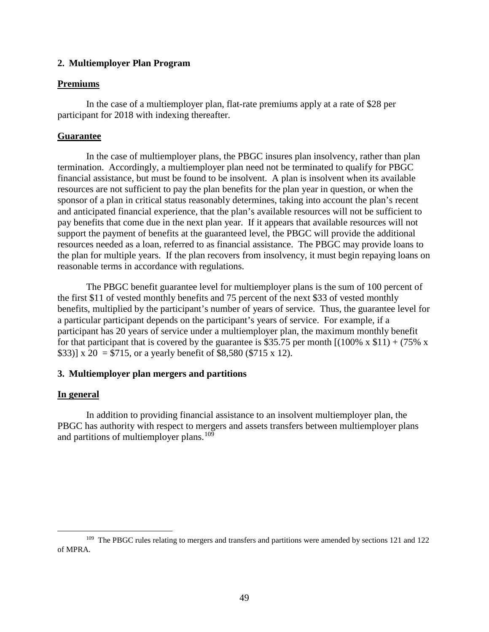### <span id="page-50-0"></span>**2. Multiemployer Plan Program**

### **Premiums**

In the case of a multiemployer plan, flat-rate premiums apply at a rate of \$28 per participant for 2018 with indexing thereafter.

### **Guarantee**

In the case of multiemployer plans, the PBGC insures plan insolvency, rather than plan termination. Accordingly, a multiemployer plan need not be terminated to qualify for PBGC financial assistance, but must be found to be insolvent. A plan is insolvent when its available resources are not sufficient to pay the plan benefits for the plan year in question, or when the sponsor of a plan in critical status reasonably determines, taking into account the plan's recent and anticipated financial experience, that the plan's available resources will not be sufficient to pay benefits that come due in the next plan year. If it appears that available resources will not support the payment of benefits at the guaranteed level, the PBGC will provide the additional resources needed as a loan, referred to as financial assistance. The PBGC may provide loans to the plan for multiple years. If the plan recovers from insolvency, it must begin repaying loans on reasonable terms in accordance with regulations.

The PBGC benefit guarantee level for multiemployer plans is the sum of 100 percent of the first \$11 of vested monthly benefits and 75 percent of the next \$33 of vested monthly benefits, multiplied by the participant's number of years of service. Thus, the guarantee level for a particular participant depends on the participant's years of service. For example, if a participant has 20 years of service under a multiemployer plan, the maximum monthly benefit for that participant that is covered by the guarantee is \$35.75 per month  $[(100\% \times $11) + (75\% \times $11)]$ \$33)] x 20 = \$715, or a yearly benefit of \$8,580 (\$715 x 12).

### <span id="page-50-1"></span>**3. Multiemployer plan mergers and partitions**

### **In general**

In addition to providing financial assistance to an insolvent multiemployer plan, the PBGC has authority with respect to mergers and assets transfers between multiemployer plans and partitions of multiemployer plans.<sup>[109](#page-50-2)</sup>

<span id="page-50-2"></span><sup>&</sup>lt;sup>109</sup> The PBGC rules relating to mergers and transfers and partitions were amended by sections 121 and 122 of MPRA.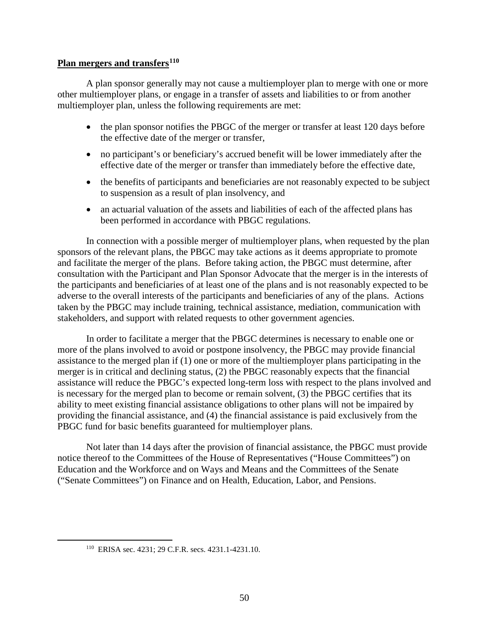### **Plan mergers and transfers[110](#page-51-0)**

A plan sponsor generally may not cause a multiemployer plan to merge with one or more other multiemployer plans, or engage in a transfer of assets and liabilities to or from another multiemployer plan, unless the following requirements are met:

- the plan sponsor notifies the PBGC of the merger or transfer at least 120 days before the effective date of the merger or transfer,
- no participant's or beneficiary's accrued benefit will be lower immediately after the effective date of the merger or transfer than immediately before the effective date,
- the benefits of participants and beneficiaries are not reasonably expected to be subject to suspension as a result of plan insolvency, and
- an actuarial valuation of the assets and liabilities of each of the affected plans has been performed in accordance with PBGC regulations.

In connection with a possible merger of multiemployer plans, when requested by the plan sponsors of the relevant plans, the PBGC may take actions as it deems appropriate to promote and facilitate the merger of the plans. Before taking action, the PBGC must determine, after consultation with the Participant and Plan Sponsor Advocate that the merger is in the interests of the participants and beneficiaries of at least one of the plans and is not reasonably expected to be adverse to the overall interests of the participants and beneficiaries of any of the plans. Actions taken by the PBGC may include training, technical assistance, mediation, communication with stakeholders, and support with related requests to other government agencies.

In order to facilitate a merger that the PBGC determines is necessary to enable one or more of the plans involved to avoid or postpone insolvency, the PBGC may provide financial assistance to the merged plan if (1) one or more of the multiemployer plans participating in the merger is in critical and declining status, (2) the PBGC reasonably expects that the financial assistance will reduce the PBGC's expected long-term loss with respect to the plans involved and is necessary for the merged plan to become or remain solvent, (3) the PBGC certifies that its ability to meet existing financial assistance obligations to other plans will not be impaired by providing the financial assistance, and (4) the financial assistance is paid exclusively from the PBGC fund for basic benefits guaranteed for multiemployer plans.

Not later than 14 days after the provision of financial assistance, the PBGC must provide notice thereof to the Committees of the House of Representatives ("House Committees") on Education and the Workforce and on Ways and Means and the Committees of the Senate ("Senate Committees") on Finance and on Health, Education, Labor, and Pensions.

<span id="page-51-0"></span> <sup>110</sup> ERISA sec. 4231; 29 C.F.R. secs. 4231.1-4231.10.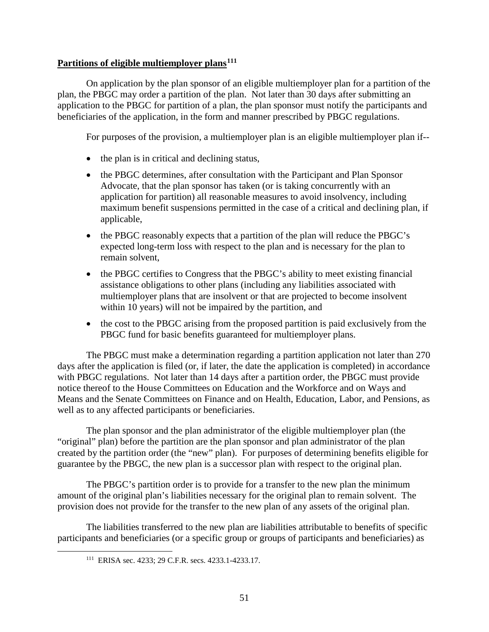### **Partitions of eligible multiemployer plans[111](#page-52-0)**

On application by the plan sponsor of an eligible multiemployer plan for a partition of the plan, the PBGC may order a partition of the plan. Not later than 30 days after submitting an application to the PBGC for partition of a plan, the plan sponsor must notify the participants and beneficiaries of the application, in the form and manner prescribed by PBGC regulations.

For purposes of the provision, a multiemployer plan is an eligible multiemployer plan if--

- the plan is in critical and declining status,
- the PBGC determines, after consultation with the Participant and Plan Sponsor Advocate, that the plan sponsor has taken (or is taking concurrently with an application for partition) all reasonable measures to avoid insolvency, including maximum benefit suspensions permitted in the case of a critical and declining plan, if applicable,
- the PBGC reasonably expects that a partition of the plan will reduce the PBGC's expected long-term loss with respect to the plan and is necessary for the plan to remain solvent,
- the PBGC certifies to Congress that the PBGC's ability to meet existing financial assistance obligations to other plans (including any liabilities associated with multiemployer plans that are insolvent or that are projected to become insolvent within 10 years) will not be impaired by the partition, and
- the cost to the PBGC arising from the proposed partition is paid exclusively from the PBGC fund for basic benefits guaranteed for multiemployer plans.

The PBGC must make a determination regarding a partition application not later than 270 days after the application is filed (or, if later, the date the application is completed) in accordance with PBGC regulations. Not later than 14 days after a partition order, the PBGC must provide notice thereof to the House Committees on Education and the Workforce and on Ways and Means and the Senate Committees on Finance and on Health, Education, Labor, and Pensions, as well as to any affected participants or beneficiaries.

The plan sponsor and the plan administrator of the eligible multiemployer plan (the "original" plan) before the partition are the plan sponsor and plan administrator of the plan created by the partition order (the "new" plan). For purposes of determining benefits eligible for guarantee by the PBGC, the new plan is a successor plan with respect to the original plan.

The PBGC's partition order is to provide for a transfer to the new plan the minimum amount of the original plan's liabilities necessary for the original plan to remain solvent. The provision does not provide for the transfer to the new plan of any assets of the original plan.

<span id="page-52-0"></span>The liabilities transferred to the new plan are liabilities attributable to benefits of specific participants and beneficiaries (or a specific group or groups of participants and beneficiaries) as

 <sup>111</sup> ERISA sec. 4233; 29 C.F.R. secs. 4233.1-4233.17.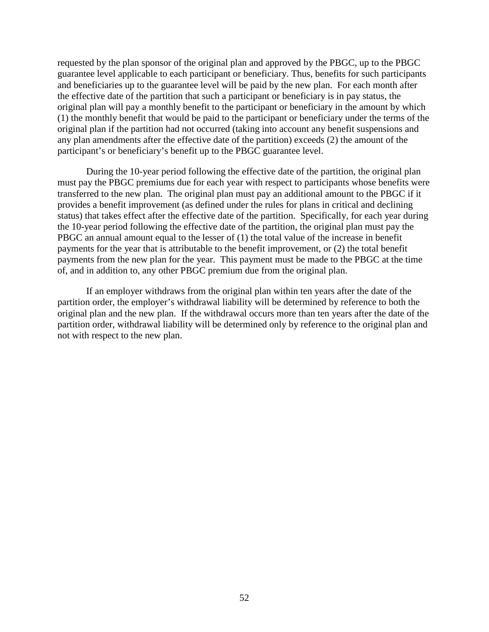requested by the plan sponsor of the original plan and approved by the PBGC, up to the PBGC guarantee level applicable to each participant or beneficiary. Thus, benefits for such participants and beneficiaries up to the guarantee level will be paid by the new plan. For each month after the effective date of the partition that such a participant or beneficiary is in pay status, the original plan will pay a monthly benefit to the participant or beneficiary in the amount by which (1) the monthly benefit that would be paid to the participant or beneficiary under the terms of the original plan if the partition had not occurred (taking into account any benefit suspensions and any plan amendments after the effective date of the partition) exceeds (2) the amount of the participant's or beneficiary's benefit up to the PBGC guarantee level.

During the 10-year period following the effective date of the partition, the original plan must pay the PBGC premiums due for each year with respect to participants whose benefits were transferred to the new plan. The original plan must pay an additional amount to the PBGC if it provides a benefit improvement (as defined under the rules for plans in critical and declining status) that takes effect after the effective date of the partition. Specifically, for each year during the 10-year period following the effective date of the partition, the original plan must pay the PBGC an annual amount equal to the lesser of (1) the total value of the increase in benefit payments for the year that is attributable to the benefit improvement, or (2) the total benefit payments from the new plan for the year. This payment must be made to the PBGC at the time of, and in addition to, any other PBGC premium due from the original plan.

If an employer withdraws from the original plan within ten years after the date of the partition order, the employer's withdrawal liability will be determined by reference to both the original plan and the new plan. If the withdrawal occurs more than ten years after the date of the partition order, withdrawal liability will be determined only by reference to the original plan and not with respect to the new plan.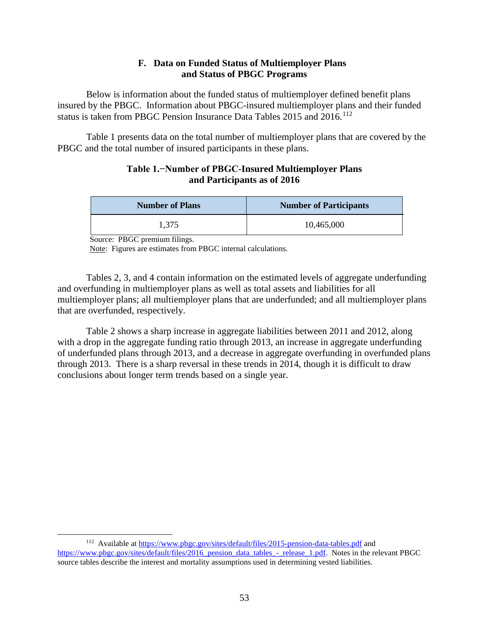### **F. Data on Funded Status of Multiemployer Plans and Status of PBGC Programs**

<span id="page-54-0"></span>Below is information about the funded status of multiemployer defined benefit plans insured by the PBGC. Information about PBGC-insured multiemployer plans and their funded status is taken from PBGC Pension Insurance Data Tables 2015 and 2016.<sup>[112](#page-54-1)</sup>

Table 1 presents data on the total number of multiemployer plans that are covered by the PBGC and the total number of insured participants in these plans.

### **Table 1.−Number of PBGC-Insured Multiemployer Plans and Participants as of 2016**

| <b>Number of Plans</b> | <b>Number of Participants</b> |
|------------------------|-------------------------------|
| 1.375                  | 10,465,000                    |

Source: PBGC premium filings.

Note: Figures are estimates from PBGC internal calculations.

Tables 2, 3, and 4 contain information on the estimated levels of aggregate underfunding and overfunding in multiemployer plans as well as total assets and liabilities for all multiemployer plans; all multiemployer plans that are underfunded; and all multiemployer plans that are overfunded, respectively.

Table 2 shows a sharp increase in aggregate liabilities between 2011 and 2012, along with a drop in the aggregate funding ratio through 2013, an increase in aggregate underfunding of underfunded plans through 2013, and a decrease in aggregate overfunding in overfunded plans through 2013. There is a sharp reversal in these trends in 2014, though it is difficult to draw conclusions about longer term trends based on a single year.

<span id="page-54-1"></span> <sup>112</sup> Available at<https://www.pbgc.gov/sites/default/files/2015-pension-data-tables.pdf> and [https://www.pbgc.gov/sites/default/files/2016\\_pension\\_data\\_tables\\_-\\_release\\_1.pdf.](https://www.pbgc.gov/sites/default/files/2016_pension_data_tables_-_release_1.pdf) Notes in the relevant PBGC source tables describe the interest and mortality assumptions used in determining vested liabilities.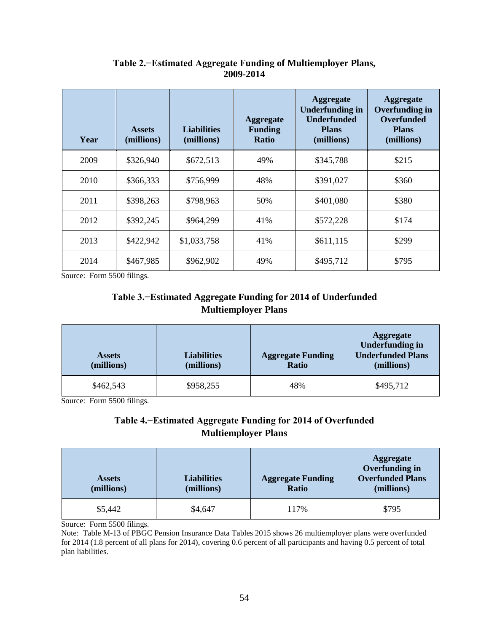| Year | <b>Assets</b><br>(millions) | <b>Liabilities</b><br>(millions) | <b>Aggregate</b><br><b>Funding</b><br><b>Ratio</b> | <b>Aggregate</b><br><b>Underfunding in</b><br><b>Underfunded</b><br><b>Plans</b><br>(millions) | <b>Aggregate</b><br><b>Overfunding in</b><br><b>Overfunded</b><br><b>Plans</b><br>(millions) |
|------|-----------------------------|----------------------------------|----------------------------------------------------|------------------------------------------------------------------------------------------------|----------------------------------------------------------------------------------------------|
| 2009 | \$326,940                   | \$672,513                        | 49%                                                | \$345,788                                                                                      | \$215                                                                                        |
| 2010 | \$366,333                   | \$756,999                        | 48%                                                | \$391,027                                                                                      | \$360                                                                                        |
| 2011 | \$398,263                   | \$798,963                        | 50%                                                | \$401,080                                                                                      | \$380                                                                                        |
| 2012 | \$392,245                   | \$964,299                        | 41%                                                | \$572,228                                                                                      | \$174                                                                                        |
| 2013 | \$422,942                   | \$1,033,758                      | 41%                                                | \$611,115                                                                                      | \$299                                                                                        |
| 2014 | \$467,985                   | \$962,902                        | 49%                                                | \$495,712                                                                                      | \$795                                                                                        |

## **Table 2.−Estimated Aggregate Funding of Multiemployer Plans, 2009-2014**

Source: Form 5500 filings.

# **Table 3.−Estimated Aggregate Funding for 2014 of Underfunded Multiemployer Plans**

| <b>Assets</b><br>(millions) | <b>Liabilities</b><br>(millions) | <b>Aggregate Funding</b><br><b>Ratio</b> | <b>Aggregate</b><br><b>Underfunding in</b><br><b>Underfunded Plans</b><br>(millions) |
|-----------------------------|----------------------------------|------------------------------------------|--------------------------------------------------------------------------------------|
| \$462,543                   | \$958,255                        | 48%                                      | \$495,712                                                                            |

Source: Form 5500 filings.

# **Table 4.−Estimated Aggregate Funding for 2014 of Overfunded Multiemployer Plans**

| <b>Assets</b><br>(millions) | Liabilities<br>(millions) | <b>Aggregate Funding</b><br>Ratio | <b>Aggregate</b><br><b>Overfunding in</b><br><b>Overfunded Plans</b><br>(millions) |
|-----------------------------|---------------------------|-----------------------------------|------------------------------------------------------------------------------------|
| \$5,442                     | \$4,647                   | 117%                              | \$795                                                                              |

Source: Form 5500 filings.

Note: Table M-13 of PBGC Pension Insurance Data Tables 2015 shows 26 multiemployer plans were overfunded for 2014 (1.8 percent of all plans for 2014), covering 0.6 percent of all participants and having 0.5 percent of total plan liabilities.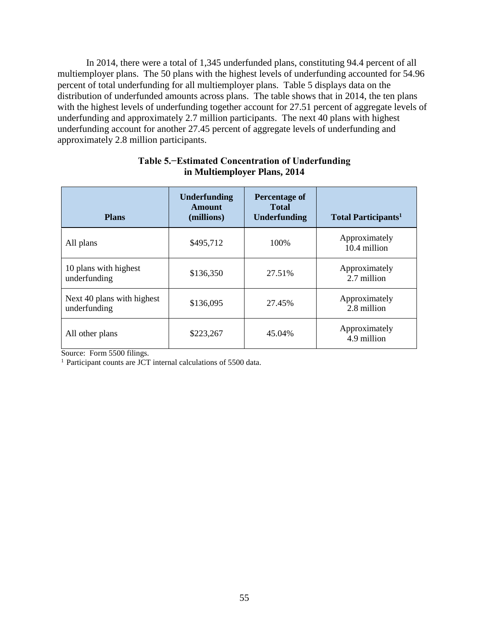In 2014, there were a total of 1,345 underfunded plans, constituting 94.4 percent of all multiemployer plans. The 50 plans with the highest levels of underfunding accounted for 54.96 percent of total underfunding for all multiemployer plans. Table 5 displays data on the distribution of underfunded amounts across plans. The table shows that in 2014, the ten plans with the highest levels of underfunding together account for 27.51 percent of aggregate levels of underfunding and approximately 2.7 million participants. The next 40 plans with highest underfunding account for another 27.45 percent of aggregate levels of underfunding and approximately 2.8 million participants.

| <b>Plans</b>                               | <b>Underfunding</b><br>Amount<br>(millions) | <b>Percentage of</b><br><b>Total</b><br><b>Underfunding</b> | <b>Total Participants</b> <sup>1</sup> |
|--------------------------------------------|---------------------------------------------|-------------------------------------------------------------|----------------------------------------|
| All plans                                  | \$495,712                                   | 100%                                                        | Approximately<br>10.4 million          |
| 10 plans with highest<br>underfunding      | \$136,350                                   | 27.51%                                                      | Approximately<br>2.7 million           |
| Next 40 plans with highest<br>underfunding | \$136,095                                   | 27.45%                                                      | Approximately<br>2.8 million           |
| All other plans                            | \$223,267                                   | 45.04%                                                      | Approximately<br>4.9 million           |

## **Table 5.−Estimated Concentration of Underfunding in Multiemployer Plans, 2014**

Source: Form 5500 filings.

<sup>1</sup> Participant counts are JCT internal calculations of 5500 data.